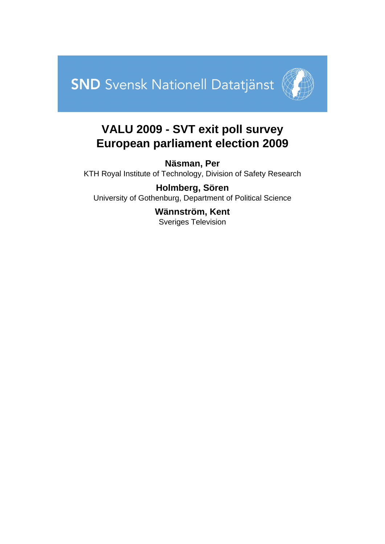



# **VALU 2009 - SVT exit poll survey European parliament election 2009**

**Näsman, Per** KTH Royal Institute of Technology, Division of Safety Research

**Holmberg, Sören** University of Gothenburg, Department of Political Science

> **Wännström, Kent** Sveriges Television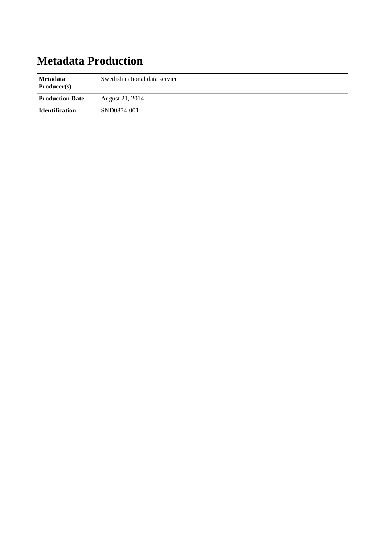# **Metadata Production**

| Metadata<br>$\textbf{Product}(s)$ | Swedish national data service |  |
|-----------------------------------|-------------------------------|--|
| <b>Production Date</b>            | August 21, 2014               |  |
| <b>Identification</b>             | SND0874-001                   |  |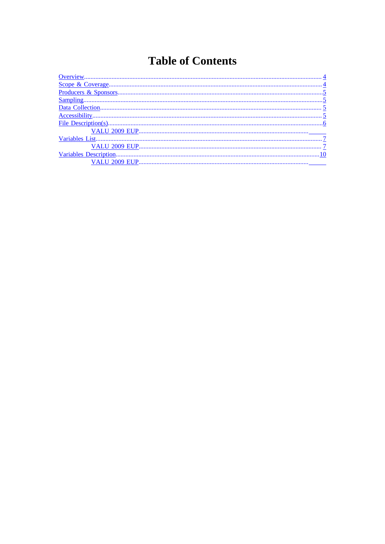# **Table of Contents**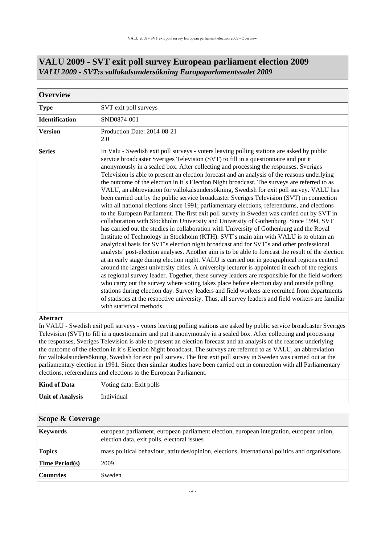<span id="page-3-0"></span>

| <b>Overview</b>       |                                                                                                                                                                                                                                                                                                                                                                                                                                                                                                                                                                                                                                                                                                                                                                                                                                                                                                                                                                                                                                                                                                                                                                                                                                                                                                                                                                                                                                                                                                                                                                                                                                                                                                                                                                                                                                                                                                                                                                                       |  |  |  |  |
|-----------------------|---------------------------------------------------------------------------------------------------------------------------------------------------------------------------------------------------------------------------------------------------------------------------------------------------------------------------------------------------------------------------------------------------------------------------------------------------------------------------------------------------------------------------------------------------------------------------------------------------------------------------------------------------------------------------------------------------------------------------------------------------------------------------------------------------------------------------------------------------------------------------------------------------------------------------------------------------------------------------------------------------------------------------------------------------------------------------------------------------------------------------------------------------------------------------------------------------------------------------------------------------------------------------------------------------------------------------------------------------------------------------------------------------------------------------------------------------------------------------------------------------------------------------------------------------------------------------------------------------------------------------------------------------------------------------------------------------------------------------------------------------------------------------------------------------------------------------------------------------------------------------------------------------------------------------------------------------------------------------------------|--|--|--|--|
| <b>Type</b>           | SVT exit poll surveys                                                                                                                                                                                                                                                                                                                                                                                                                                                                                                                                                                                                                                                                                                                                                                                                                                                                                                                                                                                                                                                                                                                                                                                                                                                                                                                                                                                                                                                                                                                                                                                                                                                                                                                                                                                                                                                                                                                                                                 |  |  |  |  |
| <b>Identification</b> | SND0874-001                                                                                                                                                                                                                                                                                                                                                                                                                                                                                                                                                                                                                                                                                                                                                                                                                                                                                                                                                                                                                                                                                                                                                                                                                                                                                                                                                                                                                                                                                                                                                                                                                                                                                                                                                                                                                                                                                                                                                                           |  |  |  |  |
| <b>Version</b>        | Production Date: 2014-08-21<br>2.0                                                                                                                                                                                                                                                                                                                                                                                                                                                                                                                                                                                                                                                                                                                                                                                                                                                                                                                                                                                                                                                                                                                                                                                                                                                                                                                                                                                                                                                                                                                                                                                                                                                                                                                                                                                                                                                                                                                                                    |  |  |  |  |
| <b>Series</b>         | In Valu - Swedish exit poll surveys - voters leaving polling stations are asked by public<br>service broadcaster Sveriges Television (SVT) to fill in a questionnaire and put it<br>anonymously in a sealed box. After collecting and processing the responses, Sveriges<br>Television is able to present an election forecast and an analysis of the reasons underlying<br>the outcome of the election in it's Election Night broadcast. The surveys are referred to as<br>VALU, an abbreviation for vallokalsundersökning, Swedish for exit poll survey. VALU has<br>been carried out by the public service broadcaster Sveriges Television (SVT) in connection<br>with all national elections since 1991; parliamentary elections, referendums, and elections<br>to the European Parliament. The first exit poll survey in Sweden was carried out by SVT in<br>collaboration with Stockholm University and University of Gothenburg. Since 1994, SVT<br>has carried out the studies in collaboration with University of Gothenburg and the Royal<br>Institute of Technology in Stockholm (KTH). SVT's main aim with VALU is to obtain an<br>analytical basis for SVT's election night broadcast and for SVT's and other professional<br>analysts' post-election analyses. Another aim is to be able to forecast the result of the election<br>at an early stage during election night. VALU is carried out in geographical regions centred<br>around the largest university cities. A university lecturer is appointed in each of the regions<br>as regional survey leader. Together, these survey leaders are responsible for the field workers<br>who carry out the survey where voting takes place before election day and outside polling<br>stations during election day. Survey leaders and field workers are recruited from departments<br>of statistics at the respective university. Thus, all survey leaders and field workers are familiar<br>with statistical methods. |  |  |  |  |

#### **VALU 2009 - SVT exit poll survey European parliament election 2009** *VALU 2009 - SVT:s vallokalsundersökning Europaparlamentsvalet 2009*

#### **Abstract**

In VALU - Swedish exit poll surveys - voters leaving polling stations are asked by public service broadcaster Sveriges Television (SVT) to fill in a questionnaire and put it anonymously in a sealed box. After collecting and processing the responses, Sveriges Television is able to present an election forecast and an analysis of the reasons underlying the outcome of the election in it´s Election Night broadcast. The surveys are referred to as VALU, an abbreviation for vallokalsundersökning, Swedish for exit poll survey. The first exit poll survey in Sweden was carried out at the parliamentary election in 1991. Since then similar studies have been carried out in connection with all Parliamentary elections, referendums and elections to the European Parliament.

| Kind of Data            | Voting data: Exit polls |  |
|-------------------------|-------------------------|--|
| <b>Unit of Analysis</b> | Individual              |  |

<span id="page-3-1"></span>

| Scope & Coverage                                                                                                                                           |                                                                                                  |  |  |
|------------------------------------------------------------------------------------------------------------------------------------------------------------|--------------------------------------------------------------------------------------------------|--|--|
| european parliament, european parliament election, european integration, european union,<br><b>Keywords</b><br>election data, exit polls, electoral issues |                                                                                                  |  |  |
| <b>Topics</b>                                                                                                                                              | mass political behaviour, attitudes/opinion, elections, international politics and organisations |  |  |
| <b>Time Period(s)</b>                                                                                                                                      | 2009                                                                                             |  |  |
| <b>Countries</b>                                                                                                                                           | Sweden                                                                                           |  |  |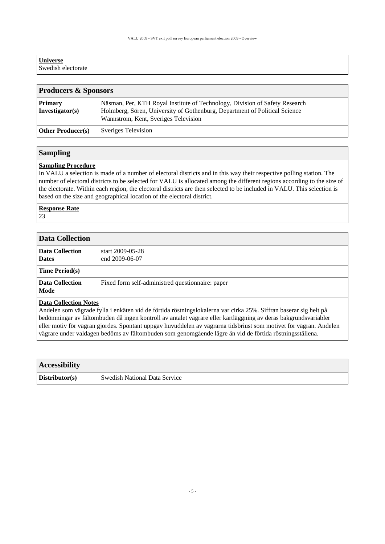| <b>Universe</b>    |  |  |
|--------------------|--|--|
| Swedish electorate |  |  |

<span id="page-4-0"></span>

| <b>Producers &amp; Sponsors</b>   |                                                                                                                                                                                                   |  |  |
|-----------------------------------|---------------------------------------------------------------------------------------------------------------------------------------------------------------------------------------------------|--|--|
| <b>Primary</b><br>Investigator(s) | Näsman, Per, KTH Royal Institute of Technology, Division of Safety Research<br>Holmberg, Sören, University of Gothenburg, Department of Political Science<br>Wännström, Kent, Sveriges Television |  |  |
| <b>Other Producer(s)</b>          | Sveriges Television                                                                                                                                                                               |  |  |

#### <span id="page-4-1"></span>**Sampling**

#### **Sampling Procedure**

In VALU a selection is made of a number of electoral districts and in this way their respective polling station. The number of electoral districts to be selected for VALU is allocated among the different regions according to the size of the electorate. Within each region, the electoral districts are then selected to be included in VALU. This selection is based on the size and geographical location of the electoral district.

#### **Response Rate**

23

<span id="page-4-2"></span>

| <b>Data Collection</b>          |                                                  |  |  |
|---------------------------------|--------------------------------------------------|--|--|
| Data Collection<br><b>Dates</b> | start 2009-05-28<br>end 2009-06-07               |  |  |
| <b>Time Period(s)</b>           |                                                  |  |  |
| Data Collection<br>Mode         | Fixed form self-administred questionnaire: paper |  |  |
| $\mathbf{R}$ and $\mathbf{R}$   |                                                  |  |  |

#### **Data Collection Notes**

Andelen som vägrade fylla i enkäten vid de förtida röstningslokalerna var cirka 25%. Siffran baserar sig helt på bedömningar av fältombuden då ingen kontroll av antalet vägrare eller kartläggning av deras bakgrundsvariabler eller motiv för vägran gjordes. Spontant uppgav huvuddelen av vägrarna tidsbriust som motivet för vägran. Andelen vägrare under valdagen bedöms av fältombuden som genomgående lägre än vid de förtida röstningsställena.

<span id="page-4-3"></span>

| <b>Accessibility</b> |                                      |  |
|----------------------|--------------------------------------|--|
| Distributor(s)       | <b>Swedish National Data Service</b> |  |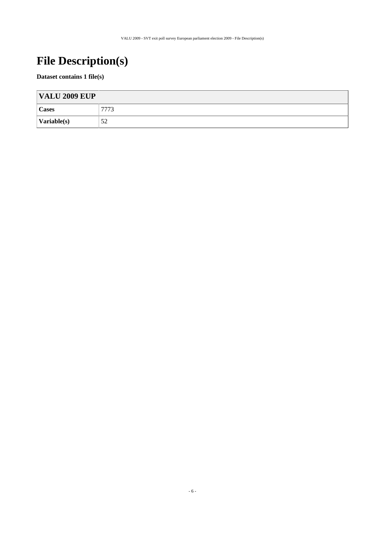# <span id="page-5-0"></span>**File Description(s)**

#### **Dataset contains 1 file(s)**

| <b>VALU 2009 EUP</b>        |      |  |
|-----------------------------|------|--|
| Cases                       | 7773 |  |
| $\sqrt{\text{Variable}(s)}$ | 52   |  |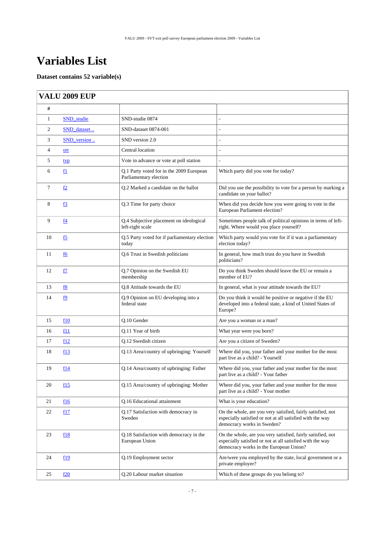# <span id="page-6-0"></span>**Variables List**

#### **Dataset contains 52 variable(s)**

### <span id="page-6-1"></span>**VALU 2009 EUP**

| #              |                  |                                                                    |                                                                                                                                                                    |
|----------------|------------------|--------------------------------------------------------------------|--------------------------------------------------------------------------------------------------------------------------------------------------------------------|
| 1              | SND studie       | SND-studie 0874                                                    |                                                                                                                                                                    |
| 2              | SND_dataset      | SND-dataset 0874-001                                               |                                                                                                                                                                    |
| 3              | SND_version      | SND version 2.0                                                    |                                                                                                                                                                    |
| $\overline{4}$ | ort              | Central location                                                   |                                                                                                                                                                    |
| 5              | typ              | Vote in advance or vote at poll station                            |                                                                                                                                                                    |
| 6              | f1               | Q.1 Party voted for in the 2009 European<br>Parliamentary election | Which party did you vote for today?                                                                                                                                |
| $\tau$         | <u>f2</u>        | Q.2 Marked a candidate on the ballot                               | Did you use the possibility to vote for a person by marking a<br>candidate on your ballot?                                                                         |
| 8              | <u>f3</u>        | Q.3 Time for party choice                                          | When did you decide how you were going to vote in the<br>European Parliament election?                                                                             |
| 9              | $\underline{f4}$ | Q.4 Subjective placement on ideological<br>left-right scale        | Sometimes people talk of political opinions in terms of left-<br>right. Where would you place yourself?                                                            |
| 10             | <u>f5</u>        | Q.5 Party voted for if parliamentary election<br>today             | Which party would you vote for if it was a parliamentary<br>election today?                                                                                        |
| 11             | f6               | Q.6 Trust in Swedish politicians                                   | In general, how much trust do you have in Swedish<br>politicians?                                                                                                  |
| 12             | <u>f7</u>        | Q.7 Opinion on the Swedish EU<br>membership                        | Do you think Sweden should leave the EU or remain a<br>member of EU?                                                                                               |
| 13             | f8               | Q.8 Attitude towards the EU                                        | In general, what is your attitude towards the EU?                                                                                                                  |
| 14             | <u>f9</u>        | Q.9 Opinion on EU developing into a<br>federal state               | Do you think it would be positive or negative if the EU<br>developed into a federal state, a kind of United States of<br>Europe?                                   |
| 15             | f10              | Q.10 Gender                                                        | Are you a woman or a man?                                                                                                                                          |
| 16             | f11              | Q.11 Year of birth                                                 | What year were you born?                                                                                                                                           |
| 17             | f12              | Q.12 Swedish citizen                                               | Are you a citizen of Sweden?                                                                                                                                       |
| 18             | f13              | Q.13 Area/country of upbringing: Yourself                          | Where did you, your father and your mother for the most<br>part live as a child? - Yourself                                                                        |
| 19             | f14              | Q.14 Area/country of upbringing: Father                            | Where did you, your father and your mother for the most<br>part live as a child? - Your father                                                                     |
| 20             | f15              | Q.15 Area/country of upbringing: Mother                            | Where did you, your father and your mother for the most<br>part live as a child? - Your mother                                                                     |
| 21             | f16              | Q.16 Educational attainment                                        | What is your education?                                                                                                                                            |
| 22             | f17              | Q.17 Satisfaction with democracy in<br>Sweden                      | On the whole, are you very satisfied, fairly satisfied, not<br>especially satisfied or not at all satisfied with the way<br>democracy works in Sweden?             |
| 23             | f18              | Q.18 Satisfaction with democracy in the<br>European Union          | On the whole, are you very satisfied, fairly satisfied, not<br>especially satisfied or not at all satisfied with the way<br>democracy works in the European Union? |
| 24             | f19              | Q.19 Employment sector                                             | Are/were you employed by the state, local government or a<br>private employer?                                                                                     |
| 25             | f20              | Q.20 Labour market situation                                       | Which of these groups do you belong to?                                                                                                                            |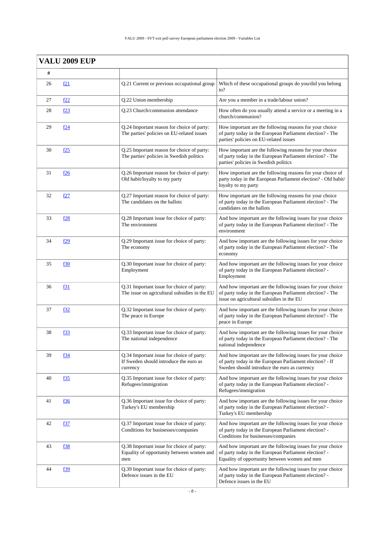|    | <b>VALU 2009 EUP</b> |                                                                                                 |                                                                                                                                                                        |
|----|----------------------|-------------------------------------------------------------------------------------------------|------------------------------------------------------------------------------------------------------------------------------------------------------------------------|
| #  |                      |                                                                                                 |                                                                                                                                                                        |
| 26 | f21                  | Q.21 Current or previous occupational group                                                     | Which of these occupational groups do you/did you belong<br>$\mathrm{to}2$                                                                                             |
| 27 | f <sub>22</sub>      | Q.22 Union membership                                                                           | Are you a member in a trade/labour union?                                                                                                                              |
| 28 | f <sub>23</sub>      | Q.23 Church/communion attendance                                                                | How often do you usually attend a service or a meeting in a<br>church/communion?                                                                                       |
| 29 | f24                  | Q.24 Important reason for choice of party:<br>The parties' policies on EU-related issues        | How important are the following reasons for your choice<br>of party today in the European Parliament election? - The<br>parties' policies on EU-related issues         |
| 30 | f25                  | Q.25 Important reason for choice of party:<br>The parties' policies in Swedish politics         | How important are the following reasons for your choice<br>of party today in the European Parliament election? - The<br>parties' policies in Swedish politics          |
| 31 | <u>f26</u>           | Q.26 Important reason for choice of party:<br>Old habit/loyalty to my party                     | How important are the following reasons for your choice of<br>party today in the European Parliament election? - Old habit/<br>loyalty to my party                     |
| 32 | f27                  | Q.27 Important reason for choice of party:<br>The candidates on the ballots                     | How important are the following reasons for your choice<br>of party today in the European Parliament election? - The<br>candidates on the ballots                      |
| 33 | f28                  | Q.28 Important issue for choice of party:<br>The environment                                    | And how important are the following issues for your choice<br>of party today in the European Parliament election? - The<br>environment                                 |
| 34 | f29                  | Q.29 Important issue for choice of party:<br>The economy                                        | And how important are the following issues for your choice<br>of party today in the European Parliament election? - The<br>economy                                     |
| 35 | f30                  | Q.30 Important issue for choice of party:<br>Employment                                         | And how important are the following issues for your choice<br>of party today in the European Parliament election? -<br>Employment                                      |
| 36 | f31                  | Q.31 Important issue for choice of party:<br>The issue on agricultural subsidies in the EU      | And how important are the following issues for your choice<br>of party today in the European Parliament election? - The<br>issue on agricultural subsidies in the EU   |
| 37 | f32                  | Q.32 Important issue for choice of party:<br>The peace in Europe                                | And how important are the following issues for your choice<br>of party today in the European Parliament election? - The<br>peace in Europe                             |
| 38 | f33                  | Q.33 Important issue for choice of party:<br>The national independence                          | And how important are the following issues for your choice<br>of party today in the European Parliament election? - The<br>national independence                       |
| 39 | f34                  | Q.34 Important issue for choice of party:<br>If Sweden should introduce the euro as<br>currency | And how important are the following issues for your choice<br>of party today in the European Parliament election? - If<br>Sweden should introduce the euro as currency |
| 40 | <u>f35</u>           | Q.35 Important issue for choice of party:<br>Refugees/immigration                               | And how important are the following issues for your choice<br>of party today in the European Parliament election? -<br>Refugees/immigration                            |
| 41 | <u>f36</u>           | Q.36 Important issue for choice of party:<br>Turkey's EU membership                             | And how important are the following issues for your choice<br>of party today in the European Parliament election? -<br>Turkey's EU membership                          |
| 42 | f37                  | Q.37 Important issue for choice of party:<br>Conditions for businesses/companies                | And how important are the following issues for your choice<br>of party today in the European Parliament election? -<br>Conditions for businesses/companies             |
| 43 | f38                  | Q.38 Important issue for choice of party:<br>Equality of opportunity between women and<br>men   | And how important are the following issues for your choice<br>of party today in the European Parliament election? -<br>Equality of opportunity between women and men   |
| 44 | f39                  | Q.39 Important issue for choice of party:<br>Defence issues in the EU                           | And how important are the following issues for your choice<br>of party today in the European Parliament election? -<br>Defence issues in the EU                        |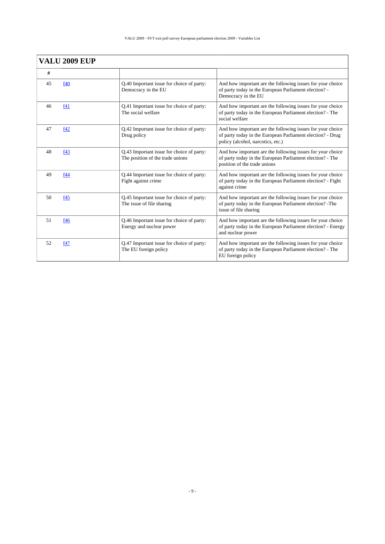|    | <b>VALU 2009 EUP</b> |                                                                               |                                                                                                                                                               |
|----|----------------------|-------------------------------------------------------------------------------|---------------------------------------------------------------------------------------------------------------------------------------------------------------|
| #  |                      |                                                                               |                                                                                                                                                               |
| 45 | f40                  | Q.40 Important issue for choice of party:<br>Democracy in the EU              | And how important are the following issues for your choice<br>of party today in the European Parliament election? -<br>Democracy in the EU                    |
| 46 | f41                  | Q.41 Important issue for choice of party:<br>The social welfare               | And how important are the following issues for your choice<br>of party today in the European Parliament election? - The<br>social welfare                     |
| 47 | f42                  | Q.42 Important issue for choice of party:<br>Drug policy                      | And how important are the following issues for your choice<br>of party today in the European Parliament election? - Drug<br>policy (alcohol, narcotics, etc.) |
| 48 | f43                  | Q.43 Important issue for choice of party:<br>The position of the trade unions | And how important are the following issues for your choice<br>of party today in the European Parliament election? - The<br>position of the trade unions       |
| 49 | f44                  | Q.44 Important issue for choice of party:<br>Fight against crime              | And how important are the following issues for your choice<br>of party today in the European Parliament election? - Fight<br>against crime                    |
| 50 | f45                  | Q.45 Important issue for choice of party:<br>The issue of file sharing        | And how important are the following issues for your choice<br>of party today in the European Parliament election? -The<br>issue of file sharing               |
| 51 | f46                  | Q.46 Important issue for choice of party:<br>Energy and nuclear power         | And how important are the following issues for your choice<br>of party today in the European Parliament election? - Energy<br>and nuclear power               |
| 52 | f47                  | Q.47 Important issue for choice of party:<br>The EU foreign policy            | And how important are the following issues for your choice<br>of party today in the European Parliament election? - The<br>EU foreign policy                  |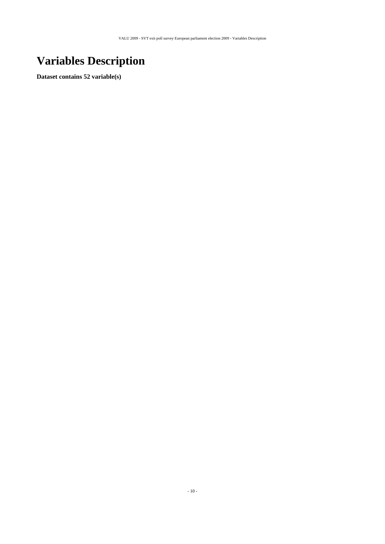# <span id="page-9-0"></span>**Variables Description**

**Dataset contains 52 variable(s)**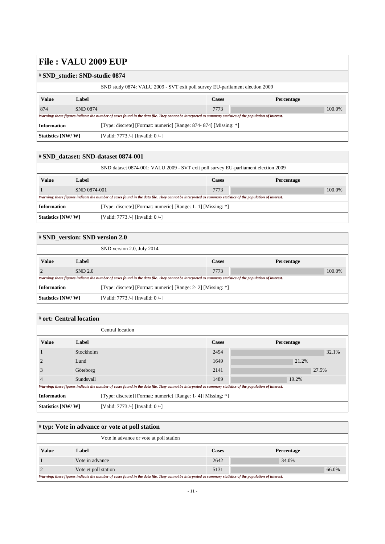#### <span id="page-10-0"></span># **SND\_studie: SND-studie 0874**

| SND study 0874: VALU 2009 - SVT exit poll survey EU-parliament election 2009                                                                                |                 |                                                                  |              |            |  |
|-------------------------------------------------------------------------------------------------------------------------------------------------------------|-----------------|------------------------------------------------------------------|--------------|------------|--|
| <b>Value</b>                                                                                                                                                | Label           |                                                                  | <b>Cases</b> | Percentage |  |
| 874                                                                                                                                                         | <b>SND 0874</b> |                                                                  | 7773         | 100.0%     |  |
| Warning: these figures indicate the number of cases found in the data file. They cannot be interpreted as summary statistics of the population of interest. |                 |                                                                  |              |            |  |
| <b>Information</b>                                                                                                                                          |                 | [Type: discrete] [Format: numeric] [Range: 874-874] [Missing: *] |              |            |  |
| Statistics [NW/W]                                                                                                                                           |                 | [Valid: 7773 /-] [Invalid: 0 /-]                                 |              |            |  |

<span id="page-10-1"></span>

| # SND dataset: SND-dataset 0874-001                                                |              |                                                                                                                                                             |      |            |
|------------------------------------------------------------------------------------|--------------|-------------------------------------------------------------------------------------------------------------------------------------------------------------|------|------------|
| SND dataset 0874-001: VALU 2009 - SVT exit poll survey EU-parliament election 2009 |              |                                                                                                                                                             |      |            |
| <b>Value</b>                                                                       | Label        | <b>Cases</b>                                                                                                                                                |      | Percentage |
|                                                                                    | SND 0874-001 |                                                                                                                                                             | 7773 | 100.0%     |
|                                                                                    |              | Warning: these figures indicate the number of cases found in the data file. They cannot be interpreted as summary statistics of the population of interest. |      |            |
| <b>Information</b><br>[Type: discrete] [Format: numeric] [Range: 1-1] [Missing: *] |              |                                                                                                                                                             |      |            |
| Statistics [NW/W]                                                                  |              | [Valid: 7773 /-] [Invalid: 0 /-]                                                                                                                            |      |            |

<span id="page-10-2"></span>

| $\sharp$ SND_version: SND version 2.0                                              |         |                                                                                                                                                             |              |            |
|------------------------------------------------------------------------------------|---------|-------------------------------------------------------------------------------------------------------------------------------------------------------------|--------------|------------|
| SND version 2.0, July 2014                                                         |         |                                                                                                                                                             |              |            |
| <b>Value</b>                                                                       | Label   |                                                                                                                                                             | <b>Cases</b> | Percentage |
|                                                                                    | SND 2.0 |                                                                                                                                                             | 7773         | 100.0%     |
|                                                                                    |         | Warning: these figures indicate the number of cases found in the data file. They cannot be interpreted as summary statistics of the population of interest. |              |            |
| <b>Information</b><br>[Type: discrete] [Format: numeric] [Range: 2-2] [Missing: *] |         |                                                                                                                                                             |              |            |
| Statistics [NW/W]                                                                  |         | [Valid: 7773 /-] [Invalid: 0 /-]                                                                                                                            |              |            |

#### <span id="page-10-3"></span># **ort: Central location**

|                                                                                                                                                             |           | Central location                                             |       |            |  |
|-------------------------------------------------------------------------------------------------------------------------------------------------------------|-----------|--------------------------------------------------------------|-------|------------|--|
| <b>Value</b>                                                                                                                                                | Label     |                                                              | Cases | Percentage |  |
|                                                                                                                                                             | Stockholm |                                                              | 2494  | 32.1%      |  |
|                                                                                                                                                             | Lund      |                                                              | 1649  | 21.2%      |  |
| 3                                                                                                                                                           | Göteborg  |                                                              | 2141  | 27.5%      |  |
|                                                                                                                                                             | Sundsvall |                                                              | 1489  | 19.2%      |  |
| Warning: these figures indicate the number of cases found in the data file. They cannot be interpreted as summary statistics of the population of interest. |           |                                                              |       |            |  |
| <b>Information</b>                                                                                                                                          |           | [Type: discrete] [Format: numeric] [Range: 1-4] [Missing: *] |       |            |  |
| Statistics [NW/W]                                                                                                                                           |           | [Valid: 7773 /-] [Invalid: 0 /-]                             |       |            |  |

<span id="page-10-4"></span>

| $\#$ typ: Vote in advance or vote at poll station |                                                                                                                                                             |      |              |            |  |
|---------------------------------------------------|-------------------------------------------------------------------------------------------------------------------------------------------------------------|------|--------------|------------|--|
| Vote in advance or vote at poll station           |                                                                                                                                                             |      |              |            |  |
| <b>Value</b>                                      | Label                                                                                                                                                       |      | <b>Cases</b> | Percentage |  |
|                                                   | Vote in advance                                                                                                                                             |      | 2642         | 34.0%      |  |
| Vote et poll station                              |                                                                                                                                                             | 5131 | 66.0%        |            |  |
|                                                   | Warning: these figures indicate the number of cases found in the data file. They cannot be interpreted as summary statistics of the population of interest. |      |              |            |  |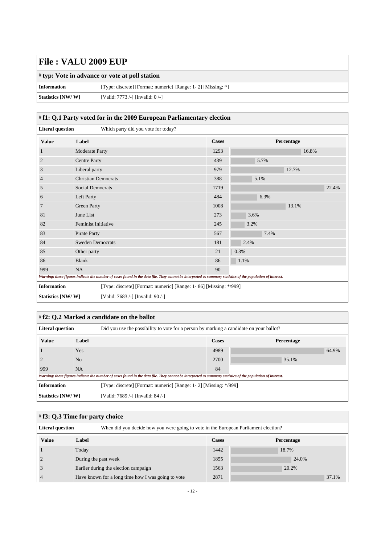|                    | $\sharp$ typ: Vote in advance or vote at poll station        |  |  |
|--------------------|--------------------------------------------------------------|--|--|
| <b>Information</b> | [Type: discrete] [Format: numeric] [Range: 1-2] [Missing: *] |  |  |
| Statistics [NW/W]  | [Valid: 7773 /-] [Invalid: 0 /-]                             |  |  |

#### <span id="page-11-0"></span># **f1: Q.1 Party voted for in the 2009 European Parliamentary election**

| <b>Literal question</b>                                                                                                                                     |                            | Which party did you vote for today?                               |              |            |       |
|-------------------------------------------------------------------------------------------------------------------------------------------------------------|----------------------------|-------------------------------------------------------------------|--------------|------------|-------|
| <b>Value</b>                                                                                                                                                | Label                      |                                                                   | <b>Cases</b> | Percentage |       |
| 1                                                                                                                                                           | Moderate Party             |                                                                   | 1293         |            | 16.8% |
| $\overline{c}$                                                                                                                                              | <b>Centre Party</b>        |                                                                   | 439          | 5.7%       |       |
| 3                                                                                                                                                           | Liberal party              |                                                                   | 979          | 12.7%      |       |
| 4                                                                                                                                                           | <b>Christian Democrats</b> |                                                                   | 388          | 5.1%       |       |
| 5                                                                                                                                                           | <b>Social Democrats</b>    |                                                                   | 1719         |            | 22.4% |
| 6                                                                                                                                                           | Left Party                 |                                                                   | 484          | 6.3%       |       |
| 7                                                                                                                                                           | <b>Green Party</b>         |                                                                   | 1008         | 13.1%      |       |
| 81                                                                                                                                                          | June List                  |                                                                   | 273          | 3.6%       |       |
| 82                                                                                                                                                          | <b>Feminist Initiative</b> |                                                                   | 245          | 3.2%       |       |
| 83                                                                                                                                                          | Pirate Party               |                                                                   | 567          | 7.4%       |       |
| 84                                                                                                                                                          | <b>Sweden Democrats</b>    |                                                                   | 181          | 2.4%       |       |
| 85                                                                                                                                                          | Other party                |                                                                   | 21           | 0.3%       |       |
| 86                                                                                                                                                          | <b>Blank</b>               |                                                                   | 86           | 1.1%       |       |
| 999<br><b>NA</b>                                                                                                                                            |                            |                                                                   | 90           |            |       |
| Warning: these figures indicate the number of cases found in the data file. They cannot be interpreted as summary statistics of the population of interest. |                            |                                                                   |              |            |       |
| <b>Information</b>                                                                                                                                          |                            | [Type: discrete] [Format: numeric] [Range: 1-86] [Missing: */999] |              |            |       |
| Statistics [NW/W]                                                                                                                                           |                            | [Valid: 7683 /-] [Invalid: 90 /-]                                 |              |            |       |

### <span id="page-11-1"></span># **f2: Q.2 Marked a candidate on the ballot**

| <b>Literal question</b> |                | Did you use the possibility to vote for a person by marking a candidate on your ballot?                                                                     |       |            |  |
|-------------------------|----------------|-------------------------------------------------------------------------------------------------------------------------------------------------------------|-------|------------|--|
| <b>Value</b>            | Label          |                                                                                                                                                             | Cases | Percentage |  |
|                         | Yes            |                                                                                                                                                             | 4989  | 64.9%      |  |
|                         | N <sub>0</sub> |                                                                                                                                                             | 2700  | 35.1%      |  |
| 999                     | <b>NA</b>      |                                                                                                                                                             | 84    |            |  |
|                         |                | Warning: these figures indicate the number of cases found in the data file. They cannot be interpreted as summary statistics of the population of interest. |       |            |  |
| <b>Information</b>      |                | [Type: discrete] [Format: numeric] [Range: 1-2] [Missing: */999]                                                                                            |       |            |  |
| Statistics [NW/W]       |                | [Valid: 7689 /-] [Invalid: 84 /-]                                                                                                                           |       |            |  |

<span id="page-11-2"></span>

| $\#$ f3: Q.3 Time for party choice |                                      |                                                                                     |      |            |       |  |
|------------------------------------|--------------------------------------|-------------------------------------------------------------------------------------|------|------------|-------|--|
| <b>Literal question</b>            |                                      | When did you decide how you were going to vote in the European Parliament election? |      |            |       |  |
| <b>Value</b>                       | Label                                |                                                                                     |      | Percentage |       |  |
|                                    | Today                                |                                                                                     |      | 18.7%      |       |  |
|                                    | During the past week                 |                                                                                     | 1855 |            | 24.0% |  |
|                                    | Earlier during the election campaign |                                                                                     | 1563 | 20.2%      |       |  |
|                                    |                                      | Have known for a long time how I was going to vote                                  | 2871 |            | 37.1% |  |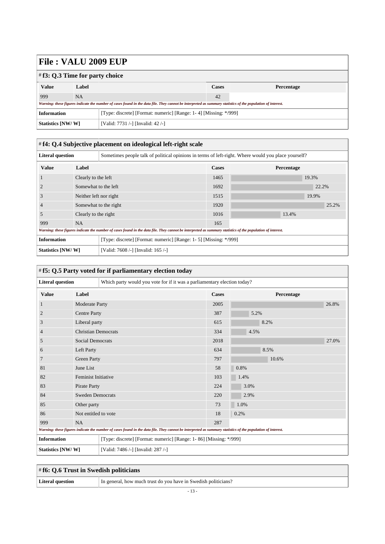| $\#$ f3: Q.3 Time for party choice                                                     |                                                                                                                                                             |                                   |       |            |  |
|----------------------------------------------------------------------------------------|-------------------------------------------------------------------------------------------------------------------------------------------------------------|-----------------------------------|-------|------------|--|
| <b>Value</b>                                                                           | Label                                                                                                                                                       |                                   | Cases | Percentage |  |
| 999                                                                                    | <b>NA</b>                                                                                                                                                   |                                   | 42    |            |  |
|                                                                                        | Warning: these figures indicate the number of cases found in the data file. They cannot be interpreted as summary statistics of the population of interest. |                                   |       |            |  |
| <b>Information</b><br>[Type: discrete] [Format: numeric] [Range: 1-4] [Missing: */999] |                                                                                                                                                             |                                   |       |            |  |
| Statistics [NW/W]                                                                      |                                                                                                                                                             | [Valid: 7731 /-] [Invalid: 42 /-] |       |            |  |

<span id="page-12-0"></span>

| # f4: Q.4 Subjective placement on ideological left-right scale |                        |                                                                                                                                                             |              |            |       |  |
|----------------------------------------------------------------|------------------------|-------------------------------------------------------------------------------------------------------------------------------------------------------------|--------------|------------|-------|--|
| <b>Literal question</b>                                        |                        | Sometimes people talk of political opinions in terms of left-right. Where would you place yourself?                                                         |              |            |       |  |
| <b>Value</b>                                                   | Label                  |                                                                                                                                                             | <b>Cases</b> | Percentage |       |  |
|                                                                | Clearly to the left    |                                                                                                                                                             | 1465         | 19.3%      |       |  |
|                                                                | Somewhat to the left   |                                                                                                                                                             | 1692         |            | 22.2% |  |
| 3                                                              | Neither left nor right |                                                                                                                                                             | 1515         | 19.9%      |       |  |
| $\overline{4}$                                                 | Somewhat to the right  |                                                                                                                                                             | 1920         |            | 25.2% |  |
| 5                                                              | Clearly to the right   |                                                                                                                                                             | 1016         | 13.4%      |       |  |
| 999                                                            | NA.                    |                                                                                                                                                             | 165          |            |       |  |
|                                                                |                        | Warning: these figures indicate the number of cases found in the data file. They cannot be interpreted as summary statistics of the population of interest. |              |            |       |  |
| <b>Information</b>                                             |                        | [Type: discrete] [Format: numeric] [Range: 1- 5] [Missing: */999]                                                                                           |              |            |       |  |
| Statistics [NW/W]                                              |                        | [Valid: 7608 /-] [Invalid: 165 /-]                                                                                                                          |              |            |       |  |

<span id="page-12-1"></span>

| <b>Literal question</b> |                            | Which party would you vote for if it was a parliamentary election today?                                                                                    |              |            |       |
|-------------------------|----------------------------|-------------------------------------------------------------------------------------------------------------------------------------------------------------|--------------|------------|-------|
| <b>Value</b>            | Label                      |                                                                                                                                                             | <b>Cases</b> | Percentage |       |
|                         | <b>Moderate Party</b>      |                                                                                                                                                             | 2005         |            | 26.8% |
| $\overline{2}$          | <b>Centre Party</b>        |                                                                                                                                                             | 387          | 5.2%       |       |
| 3                       | Liberal party              |                                                                                                                                                             | 615          | 8.2%       |       |
| $\overline{4}$          | <b>Christian Democrats</b> |                                                                                                                                                             | 334          | 4.5%       |       |
| 5                       | <b>Social Democrats</b>    |                                                                                                                                                             | 2018         |            | 27.0% |
| 6                       | Left Party                 |                                                                                                                                                             | 634          | 8.5%       |       |
|                         | <b>Green Party</b>         |                                                                                                                                                             | 797          | 10.6%      |       |
| 81                      | June List                  |                                                                                                                                                             | 58           | 0.8%       |       |
| 82                      | <b>Feminist Initiative</b> |                                                                                                                                                             | 103          | 1.4%       |       |
| 83                      | Pirate Party               |                                                                                                                                                             | 224          | 3.0%       |       |
| 84                      | <b>Sweden Democrats</b>    |                                                                                                                                                             | 220          | 2.9%       |       |
| 85                      | Other party                |                                                                                                                                                             | 73           | 1.0%       |       |
| 86                      | Not entitled to vote       |                                                                                                                                                             | 18           | 0.2%       |       |
| 999                     | <b>NA</b>                  |                                                                                                                                                             | 287          |            |       |
|                         |                            | Warning: these figures indicate the number of cases found in the data file. They cannot be interpreted as summary statistics of the population of interest. |              |            |       |
| <b>Information</b>      |                            | [Type: discrete] [Format: numeric] [Range: 1-86] [Missing: */999]                                                                                           |              |            |       |
| Statistics [NW/W]       |                            | [Valid: 7486 /-] [Invalid: 287 /-]                                                                                                                          |              |            |       |

<span id="page-12-2"></span>

|                  | $\#$ f6: Q.6 Trust in Swedish politicians                      |  |  |  |
|------------------|----------------------------------------------------------------|--|--|--|
| Literal question | In general, how much trust do you have in Swedish politicians? |  |  |  |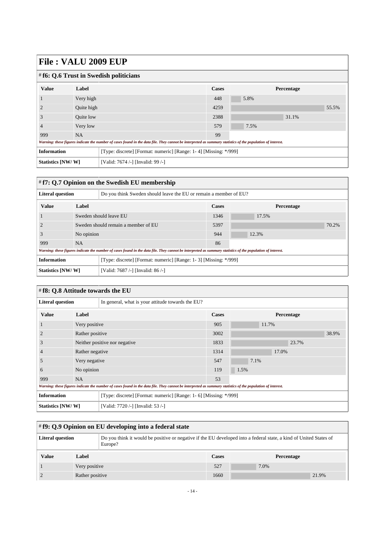| $\#$ f6: Q.6 Trust in Swedish politicians                                                                                                                   |                  |                                                                  |       |            |  |  |
|-------------------------------------------------------------------------------------------------------------------------------------------------------------|------------------|------------------------------------------------------------------|-------|------------|--|--|
| <b>Value</b>                                                                                                                                                | Label            |                                                                  | Cases | Percentage |  |  |
|                                                                                                                                                             | Very high        |                                                                  | 448   | 5.8%       |  |  |
|                                                                                                                                                             | Quite high       |                                                                  | 4259  | 55.5%      |  |  |
| 3                                                                                                                                                           | <b>Ouite</b> low |                                                                  | 2388  | 31.1%      |  |  |
|                                                                                                                                                             | Very low         |                                                                  | 579   | 7.5%       |  |  |
| 999                                                                                                                                                         | <b>NA</b>        |                                                                  | 99    |            |  |  |
| Warning: these figures indicate the number of cases found in the data file. They cannot be interpreted as summary statistics of the population of interest. |                  |                                                                  |       |            |  |  |
| <b>Information</b>                                                                                                                                          |                  | [Type: discrete] [Format: numeric] [Range: 1-4] [Missing: */999] |       |            |  |  |
| Statistics [NW/W]                                                                                                                                           |                  | [Valid: 7674 /-] [Invalid: 99 /-]                                |       |            |  |  |

### <span id="page-13-0"></span># **f7: Q.7 Opinion on the Swedish EU membership**

| <b>Literal question</b> |                                     | Do you think Sweden should leave the EU or remain a member of EU?                                                                                           |              |            |       |
|-------------------------|-------------------------------------|-------------------------------------------------------------------------------------------------------------------------------------------------------------|--------------|------------|-------|
| <b>Value</b>            | Label                               |                                                                                                                                                             | <b>Cases</b> | Percentage |       |
|                         | Sweden should leave EU              |                                                                                                                                                             | 1346         | 17.5%      |       |
|                         | Sweden should remain a member of EU |                                                                                                                                                             | 5397         |            | 70.2% |
|                         | No opinion                          |                                                                                                                                                             | 944          | 12.3%      |       |
| 999                     | <b>NA</b>                           |                                                                                                                                                             |              |            |       |
|                         |                                     | Warning: these figures indicate the number of cases found in the data file. They cannot be interpreted as summary statistics of the population of interest. |              |            |       |
| <b>Information</b>      |                                     | [Type: discrete] [Format: numeric] [Range: 1-3] [Missing: */999]                                                                                            |              |            |       |
| Statistics [NW/W]       |                                     | [Valid: 7687 /-] [Invalid: 86 /-]                                                                                                                           |              |            |       |

### <span id="page-13-1"></span># **f8: Q.8 Attitude towards the EU**

| <b>Literal question</b> |                                | In general, what is your attitude towards the EU?                                                                                                           |       |            |  |  |  |
|-------------------------|--------------------------------|-------------------------------------------------------------------------------------------------------------------------------------------------------------|-------|------------|--|--|--|
| <b>Value</b>            | Label                          |                                                                                                                                                             | Cases | Percentage |  |  |  |
|                         | Very positive                  |                                                                                                                                                             | 905   | 11.7%      |  |  |  |
|                         | Rather positive                |                                                                                                                                                             | 3002  | 38.9%      |  |  |  |
| 3                       | Neither positive nor negative. |                                                                                                                                                             | 1833  | 23.7%      |  |  |  |
|                         | Rather negative                |                                                                                                                                                             | 1314  | 17.0%      |  |  |  |
| C                       | Very negative                  |                                                                                                                                                             | 547   | 7.1%       |  |  |  |
| 6                       | No opinion                     |                                                                                                                                                             | 119   | 1.5%       |  |  |  |
| 999                     | NA.                            |                                                                                                                                                             | 53    |            |  |  |  |
|                         |                                | Warning: these figures indicate the number of cases found in the data file. They cannot be interpreted as summary statistics of the population of interest. |       |            |  |  |  |
| <b>Information</b>      |                                | [Type: discrete] [Format: numeric] [Range: 1- 6] [Missing: */999]                                                                                           |       |            |  |  |  |
| Statistics [NW/W]       |                                | [Valid: 7720 /-] [Invalid: 53 /-]                                                                                                                           |       |            |  |  |  |

<span id="page-13-2"></span>

| $\#$ f9: Q.9 Opinion on EU developing into a federal state |                 |                                                                                                                               |              |      |            |
|------------------------------------------------------------|-----------------|-------------------------------------------------------------------------------------------------------------------------------|--------------|------|------------|
| <b>Literal question</b>                                    |                 | Do you think it would be positive or negative if the EU developed into a federal state, a kind of United States of<br>Europe? |              |      |            |
| <b>Value</b>                                               | Label           |                                                                                                                               | <b>Cases</b> |      | Percentage |
|                                                            | Very positive   |                                                                                                                               | 527          | 7.0% |            |
|                                                            | Rather positive |                                                                                                                               | 1660         |      | 21.9%      |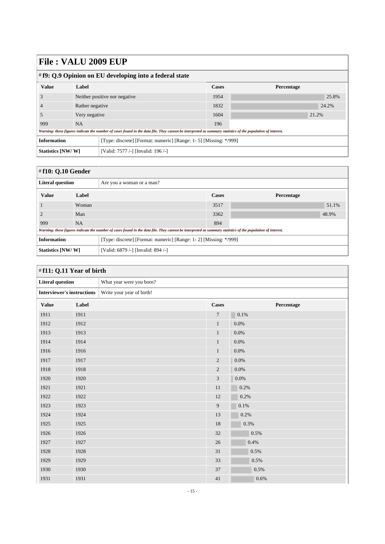| # f9: Q.9 Opinion on EU developing into a federal state |                               |                                                                                                                                                             |              |            |  |
|---------------------------------------------------------|-------------------------------|-------------------------------------------------------------------------------------------------------------------------------------------------------------|--------------|------------|--|
| <b>Value</b>                                            | Label                         |                                                                                                                                                             | <b>Cases</b> | Percentage |  |
|                                                         | Neither positive nor negative |                                                                                                                                                             | 1954         | 25.8%      |  |
|                                                         | Rather negative               |                                                                                                                                                             | 1832         | 24.2%      |  |
|                                                         | Very negative                 |                                                                                                                                                             | 1604         | 21.2%      |  |
| 999                                                     | NA.                           |                                                                                                                                                             | 196          |            |  |
|                                                         |                               | Warning: these figures indicate the number of cases found in the data file. They cannot be interpreted as summary statistics of the population of interest. |              |            |  |
| <b>Information</b>                                      |                               | [Type: discrete] [Format: numeric] [Range: 1- 5] [Missing: */999]                                                                                           |              |            |  |
| Statistics [NW/W]                                       |                               | [Valid: 7577 /-] [Invalid: 196 /-]                                                                                                                          |              |            |  |

<span id="page-14-0"></span>

| # $f10: Q.10$ Gender    |           |                                                                                                                                                             |       |                   |  |
|-------------------------|-----------|-------------------------------------------------------------------------------------------------------------------------------------------------------------|-------|-------------------|--|
| <b>Literal question</b> |           | Are you a woman or a man?                                                                                                                                   |       |                   |  |
| <b>Value</b>            | Label     |                                                                                                                                                             | Cases | <b>Percentage</b> |  |
|                         | Woman     |                                                                                                                                                             | 3517  | 51.1%             |  |
|                         | Man       |                                                                                                                                                             | 3362  | 48.9%             |  |
| 999                     | <b>NA</b> |                                                                                                                                                             | 894   |                   |  |
|                         |           | Warning: these figures indicate the number of cases found in the data file. They cannot be interpreted as summary statistics of the population of interest. |       |                   |  |
| <b>Information</b>      |           | [Type: discrete] [Format: numeric] [Range: 1-2] [Missing: */999]                                                                                            |       |                   |  |
| Statistics [NW/W]       |           | [Valid: 6879 /-] [Invalid: 894 /-]                                                                                                                          |       |                   |  |

<span id="page-14-1"></span>

| #f11: Q.11 Year of birth                                       |       |                          |                |            |  |
|----------------------------------------------------------------|-------|--------------------------|----------------|------------|--|
| <b>Literal question</b>                                        |       | What year were you born? |                |            |  |
| <b>Interviewer's instructions</b><br>Write your year of birth! |       |                          |                |            |  |
| <b>Value</b>                                                   | Label |                          | <b>Cases</b>   | Percentage |  |
| 1911                                                           | 1911  |                          | $\overline{7}$ | 0.1%       |  |
| 1912                                                           | 1912  |                          | $\mathbf{1}$   | $0.0\%$    |  |
| 1913                                                           | 1913  |                          | $\mathbf{1}$   | $0.0\%$    |  |
| 1914                                                           | 1914  |                          | $\mathbf{1}$   | $0.0\%$    |  |
| 1916                                                           | 1916  |                          | $\mathbf{1}$   | 0.0%       |  |
| 1917                                                           | 1917  |                          | $\overline{c}$ | 0.0%       |  |
| 1918                                                           | 1918  |                          | $\overline{2}$ | 0.0%       |  |
| 1920                                                           | 1920  |                          | 3              | $0.0\%$    |  |
| 1921                                                           | 1921  |                          | 11             | 0.2%       |  |
| 1922                                                           | 1922  |                          | $12\,$         | 0.2%       |  |
| 1923                                                           | 1923  |                          | 9              | 0.1%       |  |
| 1924                                                           | 1924  |                          | 13             | 0.2%       |  |
| 1925                                                           | 1925  |                          | 18             | 0.3%       |  |
| 1926                                                           | 1926  |                          | 32             | 0.5%       |  |
| 1927                                                           | 1927  |                          | 26             | 0.4%       |  |
| 1928                                                           | 1928  |                          | 31             | 0.5%       |  |
| 1929                                                           | 1929  |                          | 33             | 0.5%       |  |
| 1930                                                           | 1930  |                          | 37             | 0.5%       |  |
| 1931                                                           | 1931  |                          | 41             | 0.6%       |  |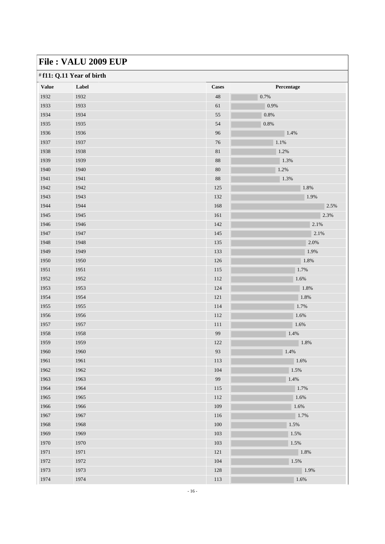| <b>Value</b> | Label | <b>Cases</b> | Percentage |
|--------------|-------|--------------|------------|
| 1932         | 1932  | 48           | 0.7%       |
| 1933         | 1933  | $61\,$       | 0.9%       |
| 1934         | 1934  | 55           | $0.8\%$    |
| 1935         | 1935  | 54           | 0.8%       |
| 1936         | 1936  | 96           | 1.4%       |
| 1937         | 1937  | 76           | $1.1\%$    |
| 1938         | 1938  | $81\,$       | 1.2%       |
| 1939         | 1939  | 88           | 1.3%       |
| 1940         | 1940  | 80           | 1.2%       |
| 1941         | 1941  | 88           | 1.3%       |
| 1942         | 1942  | 125          | $1.8\%$    |
| 1943         | 1943  | 132          | 1.9%       |
| 1944         | 1944  | 168          | 2.5%       |
| 1945         | 1945  | 161          | 2.3%       |
| 1946         | 1946  | 142          | 2.1%       |
| 1947         | 1947  | 145          | $2.1\%$    |
| 1948         | 1948  | 135          | 2.0%       |
| 1949         | 1949  | 133          | 1.9%       |
| 1950         | 1950  | 126          | 1.8%       |
| 1951         | 1951  | 115          | 1.7%       |
| 1952         | 1952  | 112          | 1.6%       |
| 1953         | 1953  | 124          | 1.8%       |
| 1954         | 1954  | 121          | 1.8%       |
| 1955         | 1955  | 114          | 1.7%       |
| 1956         | 1956  | 112          | 1.6%       |
| 1957         | 1957  | 111          | 1.6%       |
| 1958         | 1958  | 99           | 1.4%       |
| 1959         | 1959  | 122          | $1.8\%$    |
| 1960         | 1960  | 93           | 1.4%       |
| 1961         | 1961  | 113          | 1.6%       |
| 1962         | 1962  | 104          | 1.5%       |
| 1963         | 1963  | 99           | 1.4%       |
| 1964         | 1964  | 115          | 1.7%       |
| 1965         | 1965  | 112          | 1.6%       |
| 1966         | 1966  | 109          | $1.6\%$    |
| 1967         | 1967  | 116          | 1.7%       |
| 1968         | 1968  | 100          | 1.5%       |
| 1969         | 1969  | 103          | $1.5\%$    |
| 1970         | 1970  | 103          | 1.5%       |
| 1971         | 1971  | 121          | 1.8%       |
| 1972         | 1972  | 104          | 1.5%       |
| 1973         | 1973  | 128          | 1.9%       |
| 1974         | 1974  | 113          | 1.6%       |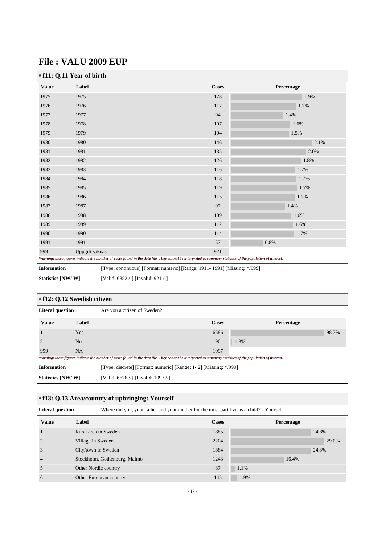|                    | $\sqrt{112}$             |                                    |                                                                                                                                                             |            |  |  |  |
|--------------------|--------------------------|------------------------------------|-------------------------------------------------------------------------------------------------------------------------------------------------------------|------------|--|--|--|
|                    | #f11: Q.11 Year of birth |                                    |                                                                                                                                                             |            |  |  |  |
| <b>Value</b>       | Label                    |                                    | <b>Cases</b>                                                                                                                                                | Percentage |  |  |  |
| 1975               | 1975                     |                                    | 128                                                                                                                                                         | 1.9%       |  |  |  |
| 1976               | 1976                     |                                    | 117                                                                                                                                                         | 1.7%       |  |  |  |
| 1977               | 1977                     |                                    | 94                                                                                                                                                          | 1.4%       |  |  |  |
| 1978               | 1978                     |                                    | 107                                                                                                                                                         | 1.6%       |  |  |  |
| 1979               | 1979                     |                                    | 104                                                                                                                                                         | 1.5%       |  |  |  |
| 1980               | 1980                     |                                    | 146                                                                                                                                                         | 2.1%       |  |  |  |
| 1981               | 1981                     |                                    | 135                                                                                                                                                         | 2.0%       |  |  |  |
| 1982               | 1982                     |                                    | 126                                                                                                                                                         | 1.8%       |  |  |  |
| 1983               | 1983                     |                                    | 116                                                                                                                                                         | 1.7%       |  |  |  |
| 1984               | 1984                     |                                    | 118                                                                                                                                                         | 1.7%       |  |  |  |
| 1985               | 1985                     |                                    | 119                                                                                                                                                         | 1.7%       |  |  |  |
| 1986               | 1986                     |                                    | 115                                                                                                                                                         | 1.7%       |  |  |  |
| 1987               | 1987                     |                                    | 97                                                                                                                                                          | 1.4%       |  |  |  |
| 1988               | 1988                     |                                    | 109                                                                                                                                                         | 1.6%       |  |  |  |
| 1989               | 1989                     |                                    | 112                                                                                                                                                         | 1.6%       |  |  |  |
| 1990               | 1990                     |                                    | 114                                                                                                                                                         | 1.7%       |  |  |  |
| 1991               | 1991                     |                                    | 57                                                                                                                                                          | 0.8%       |  |  |  |
| 999                | Uppgift saknas           |                                    | 921                                                                                                                                                         |            |  |  |  |
|                    |                          |                                    | Warning: these figures indicate the number of cases found in the data file. They cannot be interpreted as summary statistics of the population of interest. |            |  |  |  |
| <b>Information</b> |                          |                                    | [Type: continuous] [Format: numeric] [Range: 1911- 1991] [Missing: */999]                                                                                   |            |  |  |  |
| Statistics [NW/W]  |                          | [Valid: 6852 /-] [Invalid: 921 /-] |                                                                                                                                                             |            |  |  |  |

<span id="page-16-0"></span>

| $\sharp$ f12: Q.12 Swedish citizen |                |                                                                                                                                                             |       |            |       |  |
|------------------------------------|----------------|-------------------------------------------------------------------------------------------------------------------------------------------------------------|-------|------------|-------|--|
| <b>Literal question</b>            |                | Are you a citizen of Sweden?                                                                                                                                |       |            |       |  |
| <b>Value</b>                       | Label          |                                                                                                                                                             | Cases | Percentage |       |  |
|                                    | Yes            |                                                                                                                                                             | 6586  |            | 98.7% |  |
|                                    | N <sub>o</sub> |                                                                                                                                                             | 90    | 1.3%       |       |  |
| 999                                | <b>NA</b>      |                                                                                                                                                             | 1097  |            |       |  |
|                                    |                | Warning: these figures indicate the number of cases found in the data file. They cannot be interpreted as summary statistics of the population of interest. |       |            |       |  |
| <b>Information</b>                 |                | [Type: discrete] [Format: numeric] [Range: 1-2] [Missing: */999]                                                                                            |       |            |       |  |
| Statistics [NW/W]                  |                | [Valid: 6676 /-] [Invalid: 1097 /-]                                                                                                                         |       |            |       |  |

### <span id="page-16-1"></span># **f13: Q.13 Area/country of upbringing: Yourself**

| <b>Literal question</b> |                              | Where did you, your father and your mother for the most part live as a child? - Yourself |              |      |            |  |
|-------------------------|------------------------------|------------------------------------------------------------------------------------------|--------------|------|------------|--|
| <b>Value</b>            | Label                        |                                                                                          | <b>Cases</b> |      | Percentage |  |
|                         | Rural area in Sweden         |                                                                                          | 1885         |      | 24.8%      |  |
|                         | Village in Sweden            |                                                                                          | 2204         |      | 29.0%      |  |
|                         | City/town in Sweden          |                                                                                          | 1884         |      | 24.8%      |  |
|                         | Stockholm, Gothenburg, Malmö |                                                                                          | 1243         |      | 16.4%      |  |
|                         | Other Nordic country         |                                                                                          | 87           | 1.1% |            |  |
|                         |                              | Other European country                                                                   | 145          | 1.9% |            |  |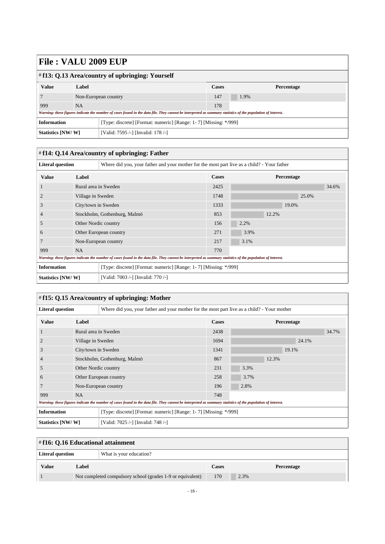| $\#$ f13: Q.13 Area/country of upbringing: Yourself |                      |                                                                                                                                                             |              |            |  |  |
|-----------------------------------------------------|----------------------|-------------------------------------------------------------------------------------------------------------------------------------------------------------|--------------|------------|--|--|
| <b>Value</b>                                        | Label                |                                                                                                                                                             | <b>Cases</b> | Percentage |  |  |
|                                                     | Non-European country |                                                                                                                                                             | 147          | 1.9%       |  |  |
| 999                                                 | <b>NA</b>            |                                                                                                                                                             | 178          |            |  |  |
|                                                     |                      | Warning: these figures indicate the number of cases found in the data file. They cannot be interpreted as summary statistics of the population of interest. |              |            |  |  |
| <b>Information</b>                                  |                      | [Type: discrete] [Format: numeric] [Range: 1-7] [Missing: */999]                                                                                            |              |            |  |  |
| Statistics [NW/W]                                   |                      | [Valid: 7595 /-] [Invalid: 178 /-]                                                                                                                          |              |            |  |  |

<span id="page-17-0"></span>

| #f14: Q.14 Area/country of upbringing: Father |                              |                                                                                                                                                             |              |       |            |       |  |
|-----------------------------------------------|------------------------------|-------------------------------------------------------------------------------------------------------------------------------------------------------------|--------------|-------|------------|-------|--|
| <b>Literal question</b>                       |                              | Where did you, your father and your mother for the most part live as a child? - Your father                                                                 |              |       |            |       |  |
| <b>Value</b>                                  | Label                        |                                                                                                                                                             | <b>Cases</b> |       | Percentage |       |  |
|                                               | Rural area in Sweden         |                                                                                                                                                             | 2425         |       |            | 34.6% |  |
| $\overline{2}$                                | Village in Sweden            |                                                                                                                                                             |              |       | 25.0%      |       |  |
| 3                                             | City/town in Sweden          |                                                                                                                                                             | 1333         |       | 19.0%      |       |  |
| $\overline{4}$                                | Stockholm, Gothenburg, Malmö |                                                                                                                                                             | 853          | 12.2% |            |       |  |
| 5                                             | Other Nordic country         |                                                                                                                                                             | 156          | 2.2%  |            |       |  |
| 6                                             |                              | Other European country                                                                                                                                      | 271          | 3.9%  |            |       |  |
|                                               |                              | Non-European country                                                                                                                                        | 217          | 3.1%  |            |       |  |
| 999                                           | NA                           |                                                                                                                                                             | 770          |       |            |       |  |
|                                               |                              | Warning: these figures indicate the number of cases found in the data file. They cannot be interpreted as summary statistics of the population of interest. |              |       |            |       |  |
| <b>Information</b>                            |                              | [Type: discrete] [Format: numeric] [Range: 1-7] [Missing: */999]                                                                                            |              |       |            |       |  |
| Statistics [NW/W]                             |                              | [Valid: 7003 /-] [Invalid: 770 /-]                                                                                                                          |              |       |            |       |  |

<span id="page-17-1"></span>

| #f15: Q.15 Area/country of upbringing: Mother                                                                                                               |                      |                                                                                             |                                                                  |      |       |            |       |
|-------------------------------------------------------------------------------------------------------------------------------------------------------------|----------------------|---------------------------------------------------------------------------------------------|------------------------------------------------------------------|------|-------|------------|-------|
| <b>Literal question</b>                                                                                                                                     |                      | Where did you, your father and your mother for the most part live as a child? - Your mother |                                                                  |      |       |            |       |
| <b>Value</b>                                                                                                                                                | Label                |                                                                                             |                                                                  |      |       | Percentage |       |
|                                                                                                                                                             | Rural area in Sweden |                                                                                             | 2438                                                             |      |       |            | 34.7% |
| $\overline{2}$                                                                                                                                              | Village in Sweden    |                                                                                             | 1694                                                             |      |       | 24.1%      |       |
| 3                                                                                                                                                           | City/town in Sweden  |                                                                                             | 1341                                                             |      |       | 19.1%      |       |
| $\overline{4}$                                                                                                                                              |                      | Stockholm, Gothenburg, Malmö                                                                | 867                                                              |      | 12.3% |            |       |
| 5                                                                                                                                                           | Other Nordic country |                                                                                             | 231                                                              | 3.3% |       |            |       |
| 6                                                                                                                                                           |                      | Other European country                                                                      | 258                                                              | 3.7% |       |            |       |
| 7                                                                                                                                                           |                      | Non-European country                                                                        | 196                                                              | 2.8% |       |            |       |
| 999                                                                                                                                                         | <b>NA</b>            |                                                                                             | 748                                                              |      |       |            |       |
| Warning: these figures indicate the number of cases found in the data file. They cannot be interpreted as summary statistics of the population of interest. |                      |                                                                                             |                                                                  |      |       |            |       |
| <b>Information</b>                                                                                                                                          |                      |                                                                                             | [Type: discrete] [Format: numeric] [Range: 1-7] [Missing: */999] |      |       |            |       |
| Statistics [NW/W]                                                                                                                                           |                      | [Valid: 7025 /-] [Invalid: 748 /-]                                                          |                                                                  |      |       |            |       |

<span id="page-17-2"></span>

| $\#f16: Q.16$ Educational attainment        |                                                            |  |              |            |  |  |  |
|---------------------------------------------|------------------------------------------------------------|--|--------------|------------|--|--|--|
| Literal question<br>What is your education? |                                                            |  |              |            |  |  |  |
| <b>Value</b>                                | Label                                                      |  | <b>Cases</b> | Percentage |  |  |  |
|                                             | Not completed compulsory school (grades 1-9 or equivalent) |  | 170          | 2.3%       |  |  |  |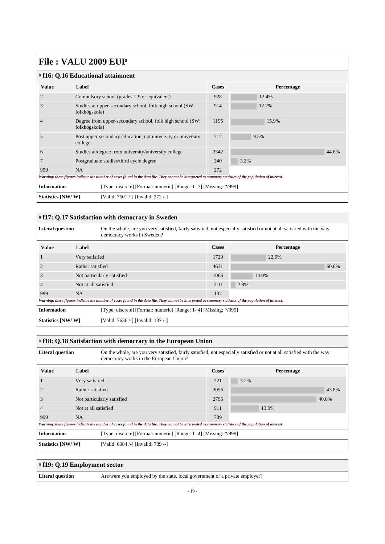| #f16: Q.16 Educational attainment                                                                                                                           |                                                                            |                                                      |              |            |       |  |  |  |
|-------------------------------------------------------------------------------------------------------------------------------------------------------------|----------------------------------------------------------------------------|------------------------------------------------------|--------------|------------|-------|--|--|--|
| <b>Value</b>                                                                                                                                                | Label                                                                      |                                                      | <b>Cases</b> | Percentage |       |  |  |  |
| $\overline{2}$                                                                                                                                              |                                                                            | Compulsory school (grades 1-9 or equivalent)         | 928          | 12.4%      |       |  |  |  |
| 3                                                                                                                                                           | Studies at upper-secondary school, folk high school (SW:<br>folkhögskola)  |                                                      | 914          | 12.2%      |       |  |  |  |
| $\overline{4}$                                                                                                                                              | Degree from upper-secondary school, folk high school (SW:<br>folkhögskola) |                                                      | 1195         | 15.9%      |       |  |  |  |
| .5                                                                                                                                                          | Post upper-secondary education, not university or university<br>college    |                                                      | 712          | 9.5%       |       |  |  |  |
| 6                                                                                                                                                           |                                                                            | Studies at/degree from university/university college | 3342         |            | 44.6% |  |  |  |
|                                                                                                                                                             |                                                                            | Postgraduate studies/third cycle degree              | 240          | 3.2%       |       |  |  |  |
| 999                                                                                                                                                         | <b>NA</b>                                                                  |                                                      | 272          |            |       |  |  |  |
| Warning: these figures indicate the number of cases found in the data file. They cannot be interpreted as summary statistics of the population of interest. |                                                                            |                                                      |              |            |       |  |  |  |
| <b>Information</b><br>[Type: discrete] [Format: numeric] [Range: 1-7] [Missing: */999]                                                                      |                                                                            |                                                      |              |            |       |  |  |  |
| Statistics [NW/W]                                                                                                                                           |                                                                            | [Valid: 7501 /-] [Invalid: 272 /-]                   |              |            |       |  |  |  |

#### <span id="page-18-0"></span># **f17: Q.17 Satisfaction with democracy in Sweden**

| <b>Literal question</b> |                            | On the whole, are you very satisfied, fairly satisfied, not especially satisfied or not at all satisfied with the way<br>democracy works in Sweden?         |              |            |       |  |
|-------------------------|----------------------------|-------------------------------------------------------------------------------------------------------------------------------------------------------------|--------------|------------|-------|--|
| <b>Value</b>            | Label                      |                                                                                                                                                             | <b>Cases</b> | Percentage |       |  |
|                         | Very satisfied             |                                                                                                                                                             | 1729         | 22.6%      |       |  |
|                         | Rather satisfied           |                                                                                                                                                             | 4631         |            | 60.6% |  |
| 3                       | Not particularly satisfied |                                                                                                                                                             | 1066         | 14.0%      |       |  |
| 4                       | Not at all satisfied       |                                                                                                                                                             | 210          | 2.8%       |       |  |
| 999                     | NA.                        |                                                                                                                                                             | 137          |            |       |  |
|                         |                            | Warning: these figures indicate the number of cases found in the data file. They cannot be interpreted as summary statistics of the population of interest. |              |            |       |  |
| <b>Information</b>      |                            | [Type: discrete] [Format: numeric] [Range: 1-4] [Missing: */999]                                                                                            |              |            |       |  |
| Statistics [NW/W]       |                            | [Valid: 7636 /-] [Invalid: 137 /-]                                                                                                                          |              |            |       |  |

<span id="page-18-1"></span>

| # f18: Q.18 Satisfaction with democracy in the European Union |                      |                                                                                                                                                                 |                                                                  |            |       |  |  |
|---------------------------------------------------------------|----------------------|-----------------------------------------------------------------------------------------------------------------------------------------------------------------|------------------------------------------------------------------|------------|-------|--|--|
| <b>Literal question</b>                                       |                      | On the whole, are you very satisfied, fairly satisfied, not especially satisfied or not at all satisfied with the way<br>democracy works in the European Union? |                                                                  |            |       |  |  |
| <b>Value</b>                                                  | Label                |                                                                                                                                                                 | <b>Cases</b>                                                     | Percentage |       |  |  |
|                                                               | Very satisfied       |                                                                                                                                                                 | 221                                                              | 3.2%       |       |  |  |
|                                                               | Rather satisfied     |                                                                                                                                                                 | 3056                                                             |            | 43.8% |  |  |
| 3                                                             |                      | Not particularly satisfied                                                                                                                                      | 2796                                                             |            | 40.0% |  |  |
|                                                               | Not at all satisfied |                                                                                                                                                                 | 911                                                              | 13.0%      |       |  |  |
| 999                                                           | <b>NA</b>            |                                                                                                                                                                 | 789                                                              |            |       |  |  |
|                                                               |                      | Warning: these figures indicate the number of cases found in the data file. They cannot be interpreted as summary statistics of the population of interest.     |                                                                  |            |       |  |  |
| <b>Information</b>                                            |                      |                                                                                                                                                                 | [Type: discrete] [Format: numeric] [Range: 1-4] [Missing: */999] |            |       |  |  |
| Statistics [NW/W]                                             |                      | [Valid: 6984 /-] [Invalid: 789 /-]                                                                                                                              |                                                                  |            |       |  |  |

<span id="page-18-2"></span>

| $\#$ f19: Q.19 Employment sector |                                                                             |
|----------------------------------|-----------------------------------------------------------------------------|
| Literal question                 | Are/were you employed by the state, local government or a private employer? |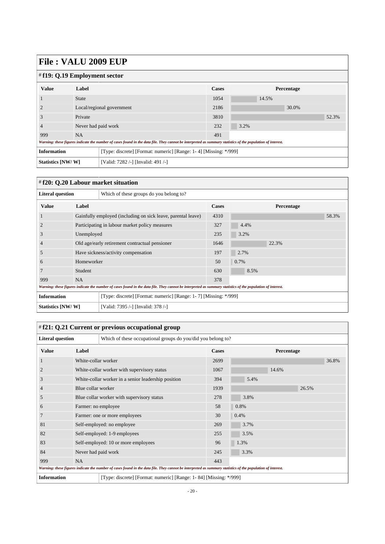| $\#$ f19: Q.19 Employment sector                                                       |                           |                                                                                                                                                             |       |            |  |  |  |
|----------------------------------------------------------------------------------------|---------------------------|-------------------------------------------------------------------------------------------------------------------------------------------------------------|-------|------------|--|--|--|
| <b>Value</b>                                                                           | Label                     |                                                                                                                                                             | Cases | Percentage |  |  |  |
|                                                                                        | <b>State</b>              |                                                                                                                                                             | 1054  | 14.5%      |  |  |  |
|                                                                                        | Local/regional government |                                                                                                                                                             | 2186  | 30.0%      |  |  |  |
| 3                                                                                      | Private                   |                                                                                                                                                             | 3810  | 52.3%      |  |  |  |
| 4                                                                                      | Never had paid work       |                                                                                                                                                             | 232   | 3.2%       |  |  |  |
| 999                                                                                    | NA                        |                                                                                                                                                             | 491   |            |  |  |  |
|                                                                                        |                           | Warning: these figures indicate the number of cases found in the data file. They cannot be interpreted as summary statistics of the population of interest. |       |            |  |  |  |
| <b>Information</b><br>[Type: discrete] [Format: numeric] [Range: 1-4] [Missing: */999] |                           |                                                                                                                                                             |       |            |  |  |  |
| Statistics [NW/W]                                                                      |                           | [Valid: 7282 /-] [Invalid: 491 /-]                                                                                                                          |       |            |  |  |  |

#### <span id="page-19-0"></span># **f20: Q.20 Labour market situation**

| <b>Literal question</b>                                                                |                                                | Which of these groups do you belong to?                                                                                                                     |              |            |       |
|----------------------------------------------------------------------------------------|------------------------------------------------|-------------------------------------------------------------------------------------------------------------------------------------------------------------|--------------|------------|-------|
| <b>Value</b>                                                                           | Label                                          |                                                                                                                                                             | <b>Cases</b> | Percentage |       |
| -1                                                                                     |                                                | Gainfully employed (including on sick leave, parental leave)                                                                                                | 4310         |            | 58.3% |
| $\overline{c}$                                                                         |                                                | Participating in labour market policy measures                                                                                                              | 327          | 4.4%       |       |
| 3                                                                                      | Unemployed                                     |                                                                                                                                                             | 235          | 3.2%       |       |
| $\overline{4}$                                                                         | Old age/early retirement contractual pensioner |                                                                                                                                                             | 1646         | 22.3%      |       |
| 5                                                                                      |                                                | Have sickness/activity compensation                                                                                                                         | 197          | 2.7%       |       |
| 6                                                                                      | Homeworker                                     |                                                                                                                                                             | 50           | 0.7%       |       |
|                                                                                        | Student                                        |                                                                                                                                                             | 630          | 8.5%       |       |
| 999                                                                                    | <b>NA</b>                                      |                                                                                                                                                             | 378          |            |       |
|                                                                                        |                                                | Warning: these figures indicate the number of cases found in the data file. They cannot be interpreted as summary statistics of the population of interest. |              |            |       |
| <b>Information</b><br>[Type: discrete] [Format: numeric] [Range: 1-7] [Missing: */999] |                                                |                                                                                                                                                             |              |            |       |
| Statistics [NW/W]<br>[Valid: 7395 /-] [Invalid: 378 /-]                                |                                                |                                                                                                                                                             |              |            |       |

### <span id="page-19-1"></span># **f21: Q.21 Current or previous occupational group**

| <b>Literal question</b>                                                                                                                                     |                                            | Which of these occupational groups do you/did you belong to?      |              |            |       |  |  |
|-------------------------------------------------------------------------------------------------------------------------------------------------------------|--------------------------------------------|-------------------------------------------------------------------|--------------|------------|-------|--|--|
| <b>Value</b>                                                                                                                                                | Label                                      |                                                                   | <b>Cases</b> | Percentage |       |  |  |
| 1                                                                                                                                                           | White-collar worker                        |                                                                   | 2699         |            | 36.8% |  |  |
| $\overline{2}$                                                                                                                                              |                                            | White-collar worker with supervisory status                       | 1067         | 14.6%      |       |  |  |
| 3                                                                                                                                                           |                                            | White-collar worker in a senior leadership position               | 394          | 5.4%       |       |  |  |
| $\overline{4}$                                                                                                                                              | Blue collar worker                         |                                                                   | 1939         |            | 26.5% |  |  |
| 5                                                                                                                                                           | Blue collar worker with supervisory status |                                                                   | 278          | 3.8%       |       |  |  |
| 6                                                                                                                                                           | Farmer: no employee                        |                                                                   | 58           | 0.8%       |       |  |  |
| 7                                                                                                                                                           |                                            | Farmer: one or more employees                                     | 30           | 0.4%       |       |  |  |
| 81                                                                                                                                                          |                                            | Self-employed: no employee                                        | 269          | 3.7%       |       |  |  |
| 82                                                                                                                                                          |                                            | Self-employed: 1-9 employees                                      | 255          | 3.5%       |       |  |  |
| 83                                                                                                                                                          |                                            | Self-employed: 10 or more employees                               | 96           | 1.3%       |       |  |  |
| 84                                                                                                                                                          | Never had paid work                        |                                                                   | 245          | 3.3%       |       |  |  |
| 999                                                                                                                                                         | NA                                         |                                                                   | 443          |            |       |  |  |
| Warning: these figures indicate the number of cases found in the data file. They cannot be interpreted as summary statistics of the population of interest. |                                            |                                                                   |              |            |       |  |  |
| <b>Information</b>                                                                                                                                          |                                            | [Type: discrete] [Format: numeric] [Range: 1-84] [Missing: */999] |              |            |       |  |  |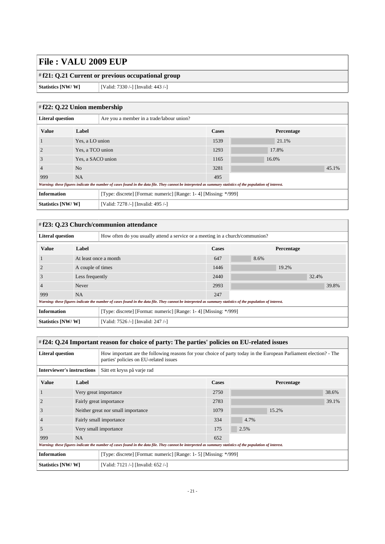#### # **f21: Q.21 Current or previous occupational group**

**Statistics [NW/ W]** [Valid: 7330 /-] [Invalid: 443 /-]

#### <span id="page-20-0"></span># **f22: Q.22 Union membership**

| -- ---- -                                                                              |                   |                                                                                                                                                             |       |       |            |       |
|----------------------------------------------------------------------------------------|-------------------|-------------------------------------------------------------------------------------------------------------------------------------------------------------|-------|-------|------------|-------|
| <b>Literal question</b><br>Are you a member in a trade/labour union?                   |                   |                                                                                                                                                             |       |       |            |       |
| <b>Value</b>                                                                           | Label             |                                                                                                                                                             | Cases |       | Percentage |       |
|                                                                                        | Yes, a LO union   |                                                                                                                                                             | 1539  | 21.1% |            |       |
|                                                                                        | Yes, a TCO union  |                                                                                                                                                             | 1293  | 17.8% |            |       |
| 3                                                                                      | Yes, a SACO union |                                                                                                                                                             | 1165  | 16.0% |            |       |
| $\overline{4}$                                                                         | N <sub>o</sub>    |                                                                                                                                                             | 3281  |       |            | 45.1% |
| 999                                                                                    | <b>NA</b>         |                                                                                                                                                             | 495   |       |            |       |
|                                                                                        |                   | Warning: these figures indicate the number of cases found in the data file. They cannot be interpreted as summary statistics of the population of interest. |       |       |            |       |
| <b>Information</b><br>[Type: discrete] [Format: numeric] [Range: 1-4] [Missing: */999] |                   |                                                                                                                                                             |       |       |            |       |
| Statistics [NW/W]<br>[Valid: 7278 /-] [Invalid: 495 /-]                                |                   |                                                                                                                                                             |       |       |            |       |

#### <span id="page-20-1"></span># **f23: Q.23 Church/communion attendance**

| How often do you usually attend a service or a meeting in a church/communion?<br><b>Literal question</b> |                   |                                                                                                                                                             |       |      |            |       |       |
|----------------------------------------------------------------------------------------------------------|-------------------|-------------------------------------------------------------------------------------------------------------------------------------------------------------|-------|------|------------|-------|-------|
| <b>Value</b>                                                                                             | Label             |                                                                                                                                                             | Cases |      | Percentage |       |       |
|                                                                                                          |                   | At least once a month                                                                                                                                       |       | 8.6% |            |       |       |
|                                                                                                          | A couple of times |                                                                                                                                                             | 1446  |      | 19.2%      |       |       |
| J.                                                                                                       | Less frequently   |                                                                                                                                                             | 2440  |      |            | 32.4% |       |
|                                                                                                          | Never             |                                                                                                                                                             | 2993  |      |            |       | 39.8% |
| 999                                                                                                      | <b>NA</b>         |                                                                                                                                                             | 247   |      |            |       |       |
|                                                                                                          |                   | Warning: these figures indicate the number of cases found in the data file. They cannot be interpreted as summary statistics of the population of interest. |       |      |            |       |       |
| <b>Information</b><br>[Type: discrete] [Format: numeric] [Range: 1-4] [Missing: */999]                   |                   |                                                                                                                                                             |       |      |            |       |       |
| Statistics [NW/W]                                                                                        |                   | [Valid: 7526 /-] [Invalid: 247 /-]                                                                                                                          |       |      |            |       |       |

#### <span id="page-20-2"></span># **f24: Q.24 Important reason for choice of party: The parties' policies on EU-related issues**

| <b>Literal question</b>                                                                 |                         | How important are the following reasons for your choice of party today in the European Parliament election? - The<br>parties' policies on EU-related issues |              |            |       |  |
|-----------------------------------------------------------------------------------------|-------------------------|-------------------------------------------------------------------------------------------------------------------------------------------------------------|--------------|------------|-------|--|
| <b>Interviewer's instructions</b>                                                       |                         | Sätt ett kryss på varje rad                                                                                                                                 |              |            |       |  |
| <b>Value</b>                                                                            | Label                   |                                                                                                                                                             | <b>Cases</b> | Percentage |       |  |
|                                                                                         |                         | Very great importance                                                                                                                                       |              |            | 38.6% |  |
|                                                                                         | Fairly great importance |                                                                                                                                                             | 2783         |            | 39.1% |  |
| J.                                                                                      |                         | Neither great nor small importance                                                                                                                          | 1079         | 15.2%      |       |  |
|                                                                                         |                         | Fairly small importance                                                                                                                                     | 334          | 4.7%       |       |  |
| $\mathcal{L}$                                                                           |                         | Very small importance                                                                                                                                       | 175          | 2.5%       |       |  |
| 999                                                                                     | <b>NA</b>               |                                                                                                                                                             | 652          |            |       |  |
|                                                                                         |                         | Warning: these figures indicate the number of cases found in the data file. They cannot be interpreted as summary statistics of the population of interest. |              |            |       |  |
| <b>Information</b><br>[Type: discrete] [Format: numeric] [Range: 1- 5] [Missing: */999] |                         |                                                                                                                                                             |              |            |       |  |
| Statistics [NW/W]                                                                       |                         | [Valid: 7121 /-] [Invalid: 652 /-]                                                                                                                          |              |            |       |  |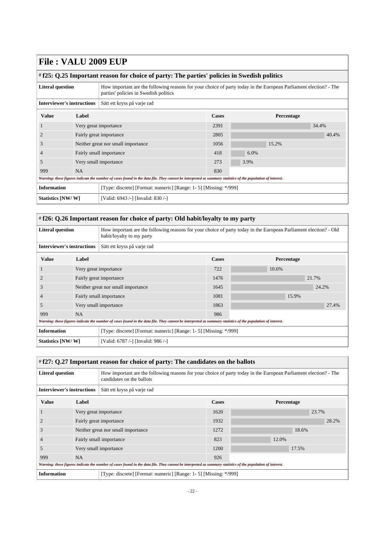<span id="page-21-0"></span>

| # f25: Q.25 Important reason for choice of party: The parties' policies in Swedish politics |                       |                                                                                                                                                             |      |       |            |  |  |
|---------------------------------------------------------------------------------------------|-----------------------|-------------------------------------------------------------------------------------------------------------------------------------------------------------|------|-------|------------|--|--|
| <b>Literal question</b>                                                                     |                       | How important are the following reasons for your choice of party today in the European Parliament election? - The<br>parties' policies in Swedish politics  |      |       |            |  |  |
| <b>Interviewer's instructions</b><br>Sätt ett kryss på varje rad                            |                       |                                                                                                                                                             |      |       |            |  |  |
| <b>Value</b>                                                                                | Label                 |                                                                                                                                                             |      |       | Percentage |  |  |
|                                                                                             | Very great importance |                                                                                                                                                             | 2391 |       | 34.4%      |  |  |
|                                                                                             |                       | Fairly great importance                                                                                                                                     | 2805 |       | 40.4%      |  |  |
| 3                                                                                           |                       | Neither great nor small importance                                                                                                                          | 1056 | 15.2% |            |  |  |
| $\overline{4}$                                                                              |                       | Fairly small importance                                                                                                                                     | 418  | 6.0%  |            |  |  |
| 5                                                                                           |                       | Very small importance                                                                                                                                       | 273  | 3.9%  |            |  |  |
| 999                                                                                         | <b>NA</b>             |                                                                                                                                                             | 830  |       |            |  |  |
|                                                                                             |                       | Warning: these figures indicate the number of cases found in the data file. They cannot be interpreted as summary statistics of the population of interest. |      |       |            |  |  |
| <b>Information</b>                                                                          |                       | [Type: discrete] [Format: numeric] [Range: 1- 5] [Missing: */999]                                                                                           |      |       |            |  |  |
| Statistics [NW/W]<br>[Valid: 6943 /-] [Invalid: 830 /-]                                     |                       |                                                                                                                                                             |      |       |            |  |  |

#### <span id="page-21-1"></span># **f26: Q.26 Important reason for choice of party: Old habit/loyalty to my party**

| <b>Literal question</b>                                                                 |           | How important are the following reasons for your choice of party today in the European Parliament election? - Old<br>habit/loyalty to my party              |              |            |       |  |  |  |
|-----------------------------------------------------------------------------------------|-----------|-------------------------------------------------------------------------------------------------------------------------------------------------------------|--------------|------------|-------|--|--|--|
| <b>Interviewer's instructions</b>                                                       |           | Sätt ett kryss på varje rad                                                                                                                                 |              |            |       |  |  |  |
| <b>Value</b><br>Label                                                                   |           |                                                                                                                                                             | <b>Cases</b> | Percentage |       |  |  |  |
|                                                                                         |           | Very great importance                                                                                                                                       | 722          | 10.6%      |       |  |  |  |
|                                                                                         |           | Fairly great importance                                                                                                                                     | 1476         |            | 21.7% |  |  |  |
| 3                                                                                       |           | Neither great nor small importance                                                                                                                          | 1645         |            | 24.2% |  |  |  |
| $\overline{4}$                                                                          |           | Fairly small importance                                                                                                                                     | 1081         |            | 15.9% |  |  |  |
| 5                                                                                       |           | Very small importance                                                                                                                                       | 1863         |            | 27.4% |  |  |  |
| 999                                                                                     | <b>NA</b> |                                                                                                                                                             | 986          |            |       |  |  |  |
|                                                                                         |           | Warning: these figures indicate the number of cases found in the data file. They cannot be interpreted as summary statistics of the population of interest. |              |            |       |  |  |  |
| <b>Information</b><br>[Type: discrete] [Format: numeric] [Range: 1- 5] [Missing: */999] |           |                                                                                                                                                             |              |            |       |  |  |  |
| Statistics [NW/W]                                                                       |           | [Valid: 6787 /-] [Invalid: 986 /-]                                                                                                                          |              |            |       |  |  |  |

#### <span id="page-21-2"></span># **f27: Q.27 Important reason for choice of party: The candidates on the ballots**

| <b>Literal question</b>                                                                                                                                     |           | How important are the following reasons for your choice of party today in the European Parliament election? - The<br>candidates on the ballots |                                                                   |            |       |       |  |  |
|-------------------------------------------------------------------------------------------------------------------------------------------------------------|-----------|------------------------------------------------------------------------------------------------------------------------------------------------|-------------------------------------------------------------------|------------|-------|-------|--|--|
| <b>Interviewer's instructions</b>                                                                                                                           |           | Sätt ett kryss på varje rad                                                                                                                    |                                                                   |            |       |       |  |  |
| <b>Value</b><br>Label                                                                                                                                       |           |                                                                                                                                                | <b>Cases</b>                                                      | Percentage |       |       |  |  |
|                                                                                                                                                             |           | Very great importance                                                                                                                          | 1620                                                              |            | 23.7% |       |  |  |
| 2                                                                                                                                                           |           | Fairly great importance                                                                                                                        | 1932                                                              |            |       | 28.2% |  |  |
| 3                                                                                                                                                           |           | Neither great nor small importance                                                                                                             | 1272                                                              |            | 18.6% |       |  |  |
|                                                                                                                                                             |           | Fairly small importance                                                                                                                        | 823                                                               | 12.0%      |       |       |  |  |
| 5                                                                                                                                                           |           | Very small importance                                                                                                                          | 1200                                                              |            | 17.5% |       |  |  |
| 999                                                                                                                                                         | <b>NA</b> |                                                                                                                                                | 926                                                               |            |       |       |  |  |
| Warning: these figures indicate the number of cases found in the data file. They cannot be interpreted as summary statistics of the population of interest. |           |                                                                                                                                                |                                                                   |            |       |       |  |  |
| <b>Information</b>                                                                                                                                          |           |                                                                                                                                                | [Type: discrete] [Format: numeric] [Range: 1- 5] [Missing: */999] |            |       |       |  |  |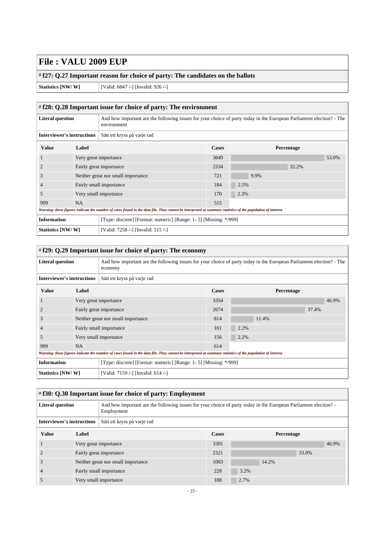#### # **f27: Q.27 Important reason for choice of party: The candidates on the ballots**

**Statistics [NW/ W]** [Valid: 6847 /-] [Invalid: 926 /-]

<span id="page-22-0"></span>

| # f28: Q.28 Important issue for choice of party: The environment                        |                                    |                                                                                                                                                             |              |      |            |       |  |
|-----------------------------------------------------------------------------------------|------------------------------------|-------------------------------------------------------------------------------------------------------------------------------------------------------------|--------------|------|------------|-------|--|
| <b>Literal question</b>                                                                 |                                    | And how important are the following issues for your choice of party today in the European Parliament election? - The<br>environment                         |              |      |            |       |  |
| <b>Interviewer's instructions</b>                                                       |                                    | Sätt ett kryss på varje rad                                                                                                                                 |              |      |            |       |  |
| <b>Value</b>                                                                            | Label                              |                                                                                                                                                             | <b>Cases</b> |      | Percentage |       |  |
|                                                                                         | Very great importance              |                                                                                                                                                             | 3849         |      |            | 53.0% |  |
|                                                                                         |                                    | Fairly great importance                                                                                                                                     | 2334         |      | 32.2%      |       |  |
| 3                                                                                       |                                    | Neither great nor small importance                                                                                                                          | 721          | 9.9% |            |       |  |
| $\overline{4}$                                                                          |                                    | Fairly small importance                                                                                                                                     | 184          | 2.5% |            |       |  |
| 5                                                                                       |                                    | Very small importance                                                                                                                                       | 170          | 2.3% |            |       |  |
| 999                                                                                     | <b>NA</b>                          |                                                                                                                                                             | 515          |      |            |       |  |
|                                                                                         |                                    | Warning: these figures indicate the number of cases found in the data file. They cannot be interpreted as summary statistics of the population of interest. |              |      |            |       |  |
| <b>Information</b><br>[Type: discrete] [Format: numeric] [Range: 1- 5] [Missing: */999] |                                    |                                                                                                                                                             |              |      |            |       |  |
| Statistics [NW/W]                                                                       | [Valid: 7258 /-] [Invalid: 515 /-] |                                                                                                                                                             |              |      |            |       |  |

<span id="page-22-1"></span>

| # f29: Q.29 Important issue for choice of party: The economy                                                                                               |           |                                                                                                                                                             |       |            |       |       |
|------------------------------------------------------------------------------------------------------------------------------------------------------------|-----------|-------------------------------------------------------------------------------------------------------------------------------------------------------------|-------|------------|-------|-------|
| <b>Literal question</b><br>And how important are the following issues for your choice of party today in the European Parliament election? - The<br>economy |           |                                                                                                                                                             |       |            |       |       |
| <b>Interviewer's instructions</b><br>Sätt ett kryss på varje rad                                                                                           |           |                                                                                                                                                             |       |            |       |       |
| <b>Value</b>                                                                                                                                               | Label     |                                                                                                                                                             | Cases | Percentage |       |       |
|                                                                                                                                                            |           | Very great importance                                                                                                                                       | 3354  |            |       | 46.9% |
|                                                                                                                                                            |           | Fairly great importance                                                                                                                                     | 2674  |            | 37.4% |       |
| Ć                                                                                                                                                          |           | Neither great nor small importance                                                                                                                          | 814   | 11.4%      |       |       |
|                                                                                                                                                            |           | Fairly small importance                                                                                                                                     | 161   | 2.2%       |       |       |
| 5                                                                                                                                                          |           | Very small importance                                                                                                                                       | 156   | 2.2%       |       |       |
| 999                                                                                                                                                        | <b>NA</b> |                                                                                                                                                             | 614   |            |       |       |
|                                                                                                                                                            |           | Warning: these figures indicate the number of cases found in the data file. They cannot be interpreted as summary statistics of the population of interest. |       |            |       |       |
| <b>Information</b><br>[Type: discrete] [Format: numeric] [Range: 1- 5] [Missing: */999]                                                                    |           |                                                                                                                                                             |       |            |       |       |
| Statistics [NW/W]                                                                                                                                          |           | [Valid: 7159 /-] [Invalid: 614 /-]                                                                                                                          |       |            |       |       |

<span id="page-22-2"></span>

| # f30: Q.30 Important issue for choice of party: Employment                                                                                             |       |                                    |            |       |       |       |
|---------------------------------------------------------------------------------------------------------------------------------------------------------|-------|------------------------------------|------------|-------|-------|-------|
| And how important are the following issues for your choice of party today in the European Parliament election?<br><b>Literal question</b><br>Employment |       |                                    |            |       |       |       |
| <b>Interviewer's instructions</b><br>Sätt ett kryss på varje rad                                                                                        |       |                                    |            |       |       |       |
| <b>Value</b>                                                                                                                                            | Label |                                    | Percentage |       |       |       |
|                                                                                                                                                         |       | Very great importance              | 3301       |       |       | 46.9% |
|                                                                                                                                                         |       | Fairly great importance            | 2321       |       | 33.0% |       |
| 3                                                                                                                                                       |       | Neither great nor small importance | 1003       | 14.2% |       |       |
|                                                                                                                                                         |       | Fairly small importance            |            | 3.2%  |       |       |
|                                                                                                                                                         |       | Very small importance              | 188        | 2.7%  |       |       |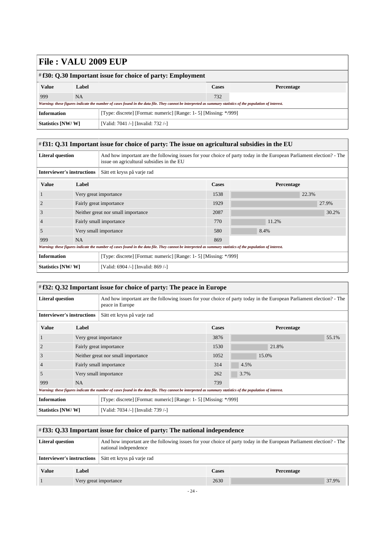| $\#$ f30: Q.30 Important issue for choice of party: Employment |                                                                  |                                                                                                                                                             |       |            |  |  |
|----------------------------------------------------------------|------------------------------------------------------------------|-------------------------------------------------------------------------------------------------------------------------------------------------------------|-------|------------|--|--|
| <b>Value</b>                                                   | Label                                                            |                                                                                                                                                             | Cases | Percentage |  |  |
| 999                                                            | NA                                                               |                                                                                                                                                             | 732   |            |  |  |
|                                                                |                                                                  | Warning: these figures indicate the number of cases found in the data file. They cannot be interpreted as summary statistics of the population of interest. |       |            |  |  |
| <b>Information</b>                                             | [Type: discrete] [Format: numeric] [Range: 1-5] [Missing: */999] |                                                                                                                                                             |       |            |  |  |
|                                                                | Statistics [NW/W]<br>[Valid: 7041 /-] [Invalid: 732 /-]          |                                                                                                                                                             |       |            |  |  |

#### <span id="page-23-0"></span># **f31: Q.31 Important issue for choice of party: The issue on agricultural subsidies in the EU**

| <b>Literal question</b>           |           | And how important are the following issues for your choice of party today in the European Parliament election? - The<br>issue on agricultural subsidies in the EU |              |            |  |  |
|-----------------------------------|-----------|-------------------------------------------------------------------------------------------------------------------------------------------------------------------|--------------|------------|--|--|
| <b>Interviewer's instructions</b> |           | Sätt ett kryss på varje rad                                                                                                                                       |              |            |  |  |
| <b>Value</b><br>Label             |           |                                                                                                                                                                   | <b>Cases</b> | Percentage |  |  |
|                                   |           | Very great importance                                                                                                                                             | 1538         | 22.3%      |  |  |
|                                   |           | Fairly great importance                                                                                                                                           | 1929         | 27.9%      |  |  |
| 3                                 |           | Neither great nor small importance                                                                                                                                | 2087         | 30.2%      |  |  |
| $\overline{4}$                    |           | Fairly small importance                                                                                                                                           | 770          | 11.2%      |  |  |
| 5                                 |           | Very small importance                                                                                                                                             | 580          | 8.4%       |  |  |
| 999                               | <b>NA</b> |                                                                                                                                                                   | 869          |            |  |  |
|                                   |           | Warning: these figures indicate the number of cases found in the data file. They cannot be interpreted as summary statistics of the population of interest.       |              |            |  |  |
| <b>Information</b>                |           | [Type: discrete] [Format: numeric] [Range: 1- 5] [Missing: */999]                                                                                                 |              |            |  |  |
| Statistics [NW/W]                 |           | [Valid: 6904 /-] [Invalid: 869 /-]                                                                                                                                |              |            |  |  |

#### <span id="page-23-1"></span># **f32: Q.32 Important issue for choice of party: The peace in Europe**

| <b>Literal question</b>                                                                 |                                    | And how important are the following issues for your choice of party today in the European Parliament election? - The<br>peace in Europe                     |              |            |       |  |
|-----------------------------------------------------------------------------------------|------------------------------------|-------------------------------------------------------------------------------------------------------------------------------------------------------------|--------------|------------|-------|--|
| <b>Interviewer's instructions</b>                                                       |                                    | Sätt ett kryss på varje rad                                                                                                                                 |              |            |       |  |
| <b>Value</b><br>Label                                                                   |                                    |                                                                                                                                                             | <b>Cases</b> | Percentage |       |  |
|                                                                                         |                                    | Very great importance                                                                                                                                       | 3876         |            | 55.1% |  |
|                                                                                         | Fairly great importance            |                                                                                                                                                             | 1530         | 21.8%      |       |  |
| J.                                                                                      | Neither great nor small importance |                                                                                                                                                             | 1052         | 15.0%      |       |  |
|                                                                                         |                                    | Fairly small importance                                                                                                                                     | 314          | 4.5%       |       |  |
| 5                                                                                       |                                    | Very small importance                                                                                                                                       | 262          | 3.7%       |       |  |
| 999                                                                                     | <b>NA</b>                          |                                                                                                                                                             | 739          |            |       |  |
|                                                                                         |                                    | Warning: these figures indicate the number of cases found in the data file. They cannot be interpreted as summary statistics of the population of interest. |              |            |       |  |
| <b>Information</b><br>[Type: discrete] [Format: numeric] [Range: 1- 5] [Missing: */999] |                                    |                                                                                                                                                             |              |            |       |  |
| Statistics [NW/W]                                                                       |                                    | [Valid: 7034 /-] [Invalid: 739 /-]                                                                                                                          |              |            |       |  |

<span id="page-23-2"></span>

| $\#$ f33: Q.33 Important issue for choice of party: The national independence                                                                                            |       |                             |       |            |  |  |  |  |
|--------------------------------------------------------------------------------------------------------------------------------------------------------------------------|-------|-----------------------------|-------|------------|--|--|--|--|
| And how important are the following issues for your choice of party today in the European Parliament election? - The<br><b>Literal question</b><br>national independence |       |                             |       |            |  |  |  |  |
| <b>Interviewer's instructions</b>                                                                                                                                        |       | Sätt ett kryss på varje rad |       |            |  |  |  |  |
| <b>Value</b>                                                                                                                                                             | Label |                             | Cases | Percentage |  |  |  |  |
|                                                                                                                                                                          |       | Very great importance       | 2630  | 37.9%      |  |  |  |  |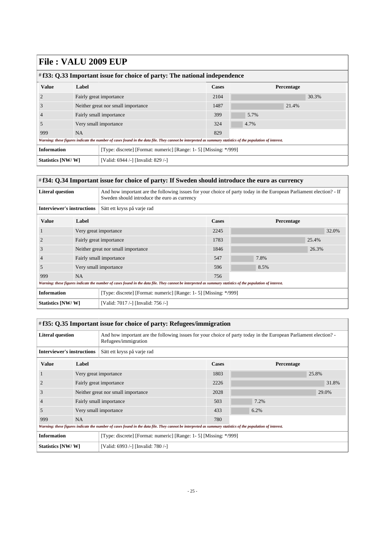| # f33: Q.33 Important issue for choice of party: The national independence |           |                                                                                                                                                             |              |            |  |  |  |  |
|----------------------------------------------------------------------------|-----------|-------------------------------------------------------------------------------------------------------------------------------------------------------------|--------------|------------|--|--|--|--|
| <b>Value</b>                                                               | Label     |                                                                                                                                                             | <b>Cases</b> | Percentage |  |  |  |  |
|                                                                            |           | Fairly great importance                                                                                                                                     | 2104         | 30.3%      |  |  |  |  |
| 3                                                                          |           | Neither great nor small importance                                                                                                                          | 1487         | 21.4%      |  |  |  |  |
|                                                                            |           | Fairly small importance                                                                                                                                     |              | 5.7%       |  |  |  |  |
| 5                                                                          |           | Very small importance                                                                                                                                       | 324          | 4.7%       |  |  |  |  |
| 999                                                                        | <b>NA</b> |                                                                                                                                                             | 829          |            |  |  |  |  |
|                                                                            |           | Warning: these figures indicate the number of cases found in the data file. They cannot be interpreted as summary statistics of the population of interest. |              |            |  |  |  |  |
| <b>Information</b>                                                         |           | [Type: discrete] [Format: numeric] [Range: 1- 5] [Missing: */999]                                                                                           |              |            |  |  |  |  |
| Statistics [NW/W]                                                          |           | [Valid: 6944 /-] [Invalid: 829 /-]                                                                                                                          |              |            |  |  |  |  |

#### <span id="page-24-0"></span># **f34: Q.34 Important issue for choice of party: If Sweden should introduce the euro as currency**

| <b>Literal question</b>           |                         | And how important are the following issues for your choice of party today in the European Parliament election? - If<br>Sweden should introduce the euro as currency |              |            |       |  |
|-----------------------------------|-------------------------|---------------------------------------------------------------------------------------------------------------------------------------------------------------------|--------------|------------|-------|--|
| <b>Interviewer's instructions</b> |                         | Sätt ett kryss på varje rad                                                                                                                                         |              |            |       |  |
| <b>Value</b>                      | Label                   |                                                                                                                                                                     | <b>Cases</b> | Percentage |       |  |
|                                   |                         | Very great importance                                                                                                                                               | 2245         |            | 32.0% |  |
| 2                                 | Fairly great importance |                                                                                                                                                                     | 1783         |            | 25.4% |  |
| 3                                 |                         | Neither great nor small importance                                                                                                                                  | 1846         |            | 26.3% |  |
|                                   |                         | Fairly small importance                                                                                                                                             | 547          | 7.8%       |       |  |
| 5                                 |                         | Very small importance                                                                                                                                               | 596          | 8.5%       |       |  |
| 999                               | <b>NA</b>               |                                                                                                                                                                     | 756          |            |       |  |
|                                   |                         | Warning: these figures indicate the number of cases found in the data file. They cannot be interpreted as summary statistics of the population of interest.         |              |            |       |  |
| <b>Information</b>                |                         | [Type: discrete] [Format: numeric] [Range: 1- 5] [Missing: */999]                                                                                                   |              |            |       |  |
| Statistics [NW/W]                 |                         | [Valid: 7017 /-] [Invalid: 756 /-]                                                                                                                                  |              |            |       |  |

<span id="page-24-1"></span>

| # f35: Q.35 Important issue for choice of party: Refugees/immigration |           |                                                                                                                                                             |              |                   |       |  |  |
|-----------------------------------------------------------------------|-----------|-------------------------------------------------------------------------------------------------------------------------------------------------------------|--------------|-------------------|-------|--|--|
| <b>Literal question</b>                                               |           | And how important are the following issues for your choice of party today in the European Parliament election?<br>Refugees/immigration                      |              |                   |       |  |  |
| <b>Interviewer's instructions</b>                                     |           | Sätt ett kryss på varje rad                                                                                                                                 |              |                   |       |  |  |
| <b>Value</b>                                                          | Label     |                                                                                                                                                             | <b>Cases</b> | <b>Percentage</b> |       |  |  |
|                                                                       |           | Very great importance                                                                                                                                       | 1803         |                   | 25.8% |  |  |
|                                                                       |           | Fairly great importance                                                                                                                                     | 2226         |                   | 31.8% |  |  |
| 3                                                                     |           | Neither great nor small importance                                                                                                                          | 2028         |                   | 29.0% |  |  |
|                                                                       |           | Fairly small importance                                                                                                                                     | 503          | 7.2%              |       |  |  |
| $\mathcal{D}$                                                         |           | Very small importance                                                                                                                                       | 433          | 6.2%              |       |  |  |
| 999                                                                   | <b>NA</b> |                                                                                                                                                             | 780          |                   |       |  |  |
|                                                                       |           | Warning: these figures indicate the number of cases found in the data file. They cannot be interpreted as summary statistics of the population of interest. |              |                   |       |  |  |
| <b>Information</b>                                                    |           | [Type: discrete] [Format: numeric] [Range: 1- 5] [Missing: */999]                                                                                           |              |                   |       |  |  |
| Statistics [NW/W]<br>[Valid: 6993 /-] [Invalid: 780 /-]               |           |                                                                                                                                                             |              |                   |       |  |  |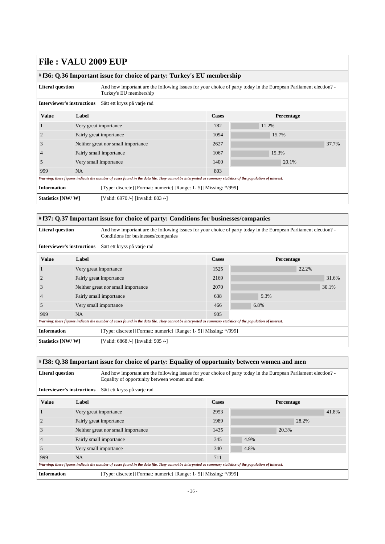<span id="page-25-0"></span>

| $\#$ f36: Q.36 Important issue for choice of party: Turkey's EU membership |                         |                                                                                                                                                             |                                                                                                                |            |       |  |  |
|----------------------------------------------------------------------------|-------------------------|-------------------------------------------------------------------------------------------------------------------------------------------------------------|----------------------------------------------------------------------------------------------------------------|------------|-------|--|--|
| <b>Literal question</b>                                                    |                         | Turkey's EU membership                                                                                                                                      | And how important are the following issues for your choice of party today in the European Parliament election? |            |       |  |  |
| <b>Interviewer's instructions</b>                                          |                         | Sätt ett kryss på varje rad                                                                                                                                 |                                                                                                                |            |       |  |  |
| <b>Value</b>                                                               | Label                   |                                                                                                                                                             | Cases                                                                                                          | Percentage |       |  |  |
|                                                                            |                         | Very great importance                                                                                                                                       | 782                                                                                                            | 11.2%      |       |  |  |
| $\overline{2}$                                                             | Fairly great importance |                                                                                                                                                             | 1094                                                                                                           | 15.7%      |       |  |  |
| 3                                                                          |                         | Neither great nor small importance                                                                                                                          | 2627                                                                                                           |            | 37.7% |  |  |
|                                                                            |                         | Fairly small importance                                                                                                                                     | 1067                                                                                                           | 15.3%      |       |  |  |
| 5                                                                          |                         | Very small importance                                                                                                                                       | 1400                                                                                                           | 20.1%      |       |  |  |
| 999                                                                        | <b>NA</b>               |                                                                                                                                                             | 803                                                                                                            |            |       |  |  |
|                                                                            |                         | Warning: these figures indicate the number of cases found in the data file. They cannot be interpreted as summary statistics of the population of interest. |                                                                                                                |            |       |  |  |
| <b>Information</b>                                                         |                         | [Type: discrete] [Format: numeric] [Range: 1- 5] [Missing: */999]                                                                                           |                                                                                                                |            |       |  |  |
| Statistics [NW/W]                                                          |                         | [Valid: 6970 /-] [Invalid: 803 /-]                                                                                                                          |                                                                                                                |            |       |  |  |

#### <span id="page-25-1"></span># **f37: Q.37 Important issue for choice of party: Conditions for businesses/companies**

| <b>Literal question</b>           |                         | And how important are the following issues for your choice of party today in the European Parliament election?<br>Conditions for businesses/companies       |                                                                   |            |       |  |
|-----------------------------------|-------------------------|-------------------------------------------------------------------------------------------------------------------------------------------------------------|-------------------------------------------------------------------|------------|-------|--|
| <b>Interviewer's instructions</b> |                         | Sätt ett kryss på varje rad                                                                                                                                 |                                                                   |            |       |  |
| <b>Value</b>                      | Label                   |                                                                                                                                                             | <b>Cases</b>                                                      | Percentage |       |  |
|                                   |                         | Very great importance                                                                                                                                       | 1525                                                              |            | 22.2% |  |
|                                   | Fairly great importance |                                                                                                                                                             | 2169                                                              |            | 31.6% |  |
| 3                                 |                         | Neither great nor small importance                                                                                                                          | 2070                                                              |            | 30.1% |  |
| $\overline{4}$                    |                         | Fairly small importance                                                                                                                                     | 638                                                               | 9.3%       |       |  |
| 5                                 |                         | Very small importance                                                                                                                                       | 466                                                               | 6.8%       |       |  |
| 999                               | <b>NA</b>               |                                                                                                                                                             | 905                                                               |            |       |  |
|                                   |                         | Warning: these figures indicate the number of cases found in the data file. They cannot be interpreted as summary statistics of the population of interest. |                                                                   |            |       |  |
| <b>Information</b>                |                         |                                                                                                                                                             | [Type: discrete] [Format: numeric] [Range: 1- 5] [Missing: */999] |            |       |  |
| Statistics [NW/W]                 |                         | [Valid: 6868 /-] [Invalid: 905 /-]                                                                                                                          |                                                                   |            |       |  |

#### <span id="page-25-2"></span># **f38: Q.38 Important issue for choice of party: Equality of opportunity between women and men**

| <b>Literal question</b>                                                                                                                                     |           | And how important are the following issues for your choice of party today in the European Parliament election?<br>Equality of opportunity between women and men |              |      |            |       |       |
|-------------------------------------------------------------------------------------------------------------------------------------------------------------|-----------|-----------------------------------------------------------------------------------------------------------------------------------------------------------------|--------------|------|------------|-------|-------|
| <b>Interviewer's instructions</b>                                                                                                                           |           | Sätt ett kryss på varje rad                                                                                                                                     |              |      |            |       |       |
| <b>Value</b>                                                                                                                                                | Label     |                                                                                                                                                                 | <b>Cases</b> |      | Percentage |       |       |
|                                                                                                                                                             |           | Very great importance                                                                                                                                           | 2953         |      |            |       | 41.8% |
|                                                                                                                                                             |           | Fairly great importance                                                                                                                                         | 1989         |      |            | 28.2% |       |
| 3                                                                                                                                                           |           | Neither great nor small importance                                                                                                                              | 1435         |      | 20.3%      |       |       |
| $\overline{4}$                                                                                                                                              |           | Fairly small importance                                                                                                                                         | 345          | 4.9% |            |       |       |
| 5                                                                                                                                                           |           | Very small importance                                                                                                                                           | 340          | 4.8% |            |       |       |
| 999                                                                                                                                                         | <b>NA</b> |                                                                                                                                                                 | 711          |      |            |       |       |
| Warning: these figures indicate the number of cases found in the data file. They cannot be interpreted as summary statistics of the population of interest. |           |                                                                                                                                                                 |              |      |            |       |       |
| <b>Information</b>                                                                                                                                          |           | [Type: discrete] [Format: numeric] [Range: 1- 5] [Missing: */999]                                                                                               |              |      |            |       |       |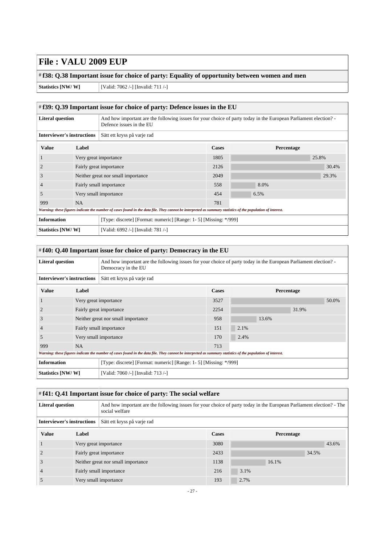# **f38: Q.38 Important issue for choice of party: Equality of opportunity between women and men**

**Statistics [NW/ W]** [Valid: 7062 /-] [Invalid: 711 /-]

<span id="page-26-0"></span>

| $\#$ f39: Q.39 Important issue for choice of party: Defence issues in the EU |           |                                                                                                                                                             |              |            |       |  |  |
|------------------------------------------------------------------------------|-----------|-------------------------------------------------------------------------------------------------------------------------------------------------------------|--------------|------------|-------|--|--|
| <b>Literal question</b>                                                      |           | And how important are the following issues for your choice of party today in the European Parliament election?<br>Defence issues in the EU                  |              |            |       |  |  |
| <b>Interviewer's instructions</b>                                            |           | Sätt ett kryss på varje rad                                                                                                                                 |              |            |       |  |  |
| <b>Value</b>                                                                 | Label     |                                                                                                                                                             | <b>Cases</b> | Percentage |       |  |  |
|                                                                              |           | Very great importance                                                                                                                                       | 1805         |            | 25.8% |  |  |
|                                                                              |           | Fairly great importance                                                                                                                                     | 2126         |            | 30.4% |  |  |
| 3                                                                            |           | Neither great nor small importance                                                                                                                          | 2049         |            | 29.3% |  |  |
| 4                                                                            |           | Fairly small importance                                                                                                                                     | 558          | 8.0%       |       |  |  |
| 5                                                                            |           | Very small importance                                                                                                                                       | 454          | 6.5%       |       |  |  |
| 999                                                                          | <b>NA</b> |                                                                                                                                                             | 781          |            |       |  |  |
|                                                                              |           | Warning: these figures indicate the number of cases found in the data file. They cannot be interpreted as summary statistics of the population of interest. |              |            |       |  |  |
| <b>Information</b>                                                           |           | [Type: discrete] [Format: numeric] [Range: 1-5] [Missing: */999]                                                                                            |              |            |       |  |  |
| Statistics [NW/W]                                                            |           | [Valid: 6992 /-] [Invalid: 781 /-]                                                                                                                          |              |            |       |  |  |

<span id="page-26-1"></span>

| #f40: Q.40 Important issue for choice of party: Democracy in the EU |                         |                                                                                                                                                             |       |      |       |            |       |  |
|---------------------------------------------------------------------|-------------------------|-------------------------------------------------------------------------------------------------------------------------------------------------------------|-------|------|-------|------------|-------|--|
| <b>Literal question</b>                                             |                         | And how important are the following issues for your choice of party today in the European Parliament election?<br>Democracy in the EU                       |       |      |       |            |       |  |
| <b>Interviewer's instructions</b>                                   |                         | Sätt ett kryss på varje rad                                                                                                                                 |       |      |       |            |       |  |
| <b>Value</b>                                                        | Label                   |                                                                                                                                                             | Cases |      |       | Percentage |       |  |
|                                                                     |                         | Very great importance                                                                                                                                       | 3527  |      |       |            | 50.0% |  |
|                                                                     | Fairly great importance |                                                                                                                                                             | 2254  |      |       | 31.9%      |       |  |
| 3                                                                   |                         | Neither great nor small importance                                                                                                                          | 958   |      | 13.6% |            |       |  |
|                                                                     |                         | Fairly small importance                                                                                                                                     | 151   | 2.1% |       |            |       |  |
| 5                                                                   |                         | Very small importance                                                                                                                                       | 170   | 2.4% |       |            |       |  |
| 999                                                                 | <b>NA</b>               |                                                                                                                                                             | 713   |      |       |            |       |  |
|                                                                     |                         | Warning: these figures indicate the number of cases found in the data file. They cannot be interpreted as summary statistics of the population of interest. |       |      |       |            |       |  |
| <b>Information</b>                                                  |                         | [Type: discrete] [Format: numeric] [Range: 1- 5] [Missing: */999]                                                                                           |       |      |       |            |       |  |
| Statistics [NW/W]                                                   |                         | [Valid: 7060 /-] [Invalid: 713 /-]                                                                                                                          |       |      |       |            |       |  |

<span id="page-26-2"></span>

| #f41: Q.41 Important issue for choice of party: The social welfare                                                                                                |       |                                    |              |       |            |  |  |  |  |
|-------------------------------------------------------------------------------------------------------------------------------------------------------------------|-------|------------------------------------|--------------|-------|------------|--|--|--|--|
| And how important are the following issues for your choice of party today in the European Parliament election? - The<br><b>Literal question</b><br>social welfare |       |                                    |              |       |            |  |  |  |  |
| <b>Interviewer's instructions</b><br>Sätt ett kryss på varje rad                                                                                                  |       |                                    |              |       |            |  |  |  |  |
| <b>Value</b>                                                                                                                                                      | Label |                                    | <b>Cases</b> |       | Percentage |  |  |  |  |
|                                                                                                                                                                   |       | Very great importance              | 3080         |       | 43.6%      |  |  |  |  |
|                                                                                                                                                                   |       | Fairly great importance            | 2433         |       | 34.5%      |  |  |  |  |
|                                                                                                                                                                   |       | Neither great nor small importance |              | 16.1% |            |  |  |  |  |
|                                                                                                                                                                   |       | Fairly small importance            |              | 3.1%  |            |  |  |  |  |
|                                                                                                                                                                   |       | Very small importance              | 193          | 2.7%  |            |  |  |  |  |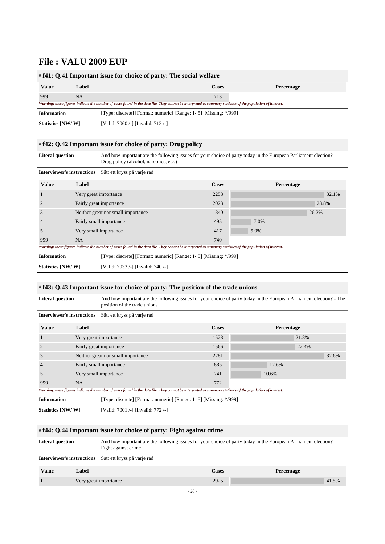<span id="page-27-1"></span> $\Gamma$ 

| $\#$ f41: Q.41 Important issue for choice of party: The social welfare |       |                                                                                                                                                             |              |            |  |  |  |
|------------------------------------------------------------------------|-------|-------------------------------------------------------------------------------------------------------------------------------------------------------------|--------------|------------|--|--|--|
| <b>Value</b>                                                           | Label |                                                                                                                                                             | <b>Cases</b> | Percentage |  |  |  |
| 999                                                                    | NA    |                                                                                                                                                             | 713          |            |  |  |  |
|                                                                        |       | Warning: these figures indicate the number of cases found in the data file. They cannot be interpreted as summary statistics of the population of interest. |              |            |  |  |  |
| <b>Information</b>                                                     |       | [Type: discrete] [Format: numeric] [Range: 1- 5] [Missing: */999]                                                                                           |              |            |  |  |  |
| Statistics [NW/W]                                                      |       | [Valid: 7060 /-] [Invalid: 713 /-]                                                                                                                          |              |            |  |  |  |

<span id="page-27-0"></span>

| # f42: Q.42 Important issue for choice of party: Drug policy |                         |                                                                                                                                                             |      |                   |       |       |  |
|--------------------------------------------------------------|-------------------------|-------------------------------------------------------------------------------------------------------------------------------------------------------------|------|-------------------|-------|-------|--|
| <b>Literal question</b>                                      |                         | And how important are the following issues for your choice of party today in the European Parliament election?<br>Drug policy (alcohol, narcotics, etc.)    |      |                   |       |       |  |
| <b>Interviewer's instructions</b>                            |                         | Sätt ett kryss på varje rad                                                                                                                                 |      |                   |       |       |  |
| <b>Value</b>                                                 | Label                   |                                                                                                                                                             |      | <b>Percentage</b> |       |       |  |
| -1                                                           |                         | Very great importance                                                                                                                                       | 2258 |                   |       | 32.1% |  |
| $\overline{c}$                                               | Fairly great importance |                                                                                                                                                             | 2023 |                   | 28.8% |       |  |
| 3                                                            |                         | Neither great nor small importance                                                                                                                          | 1840 |                   | 26.2% |       |  |
| $\overline{4}$                                               |                         | Fairly small importance                                                                                                                                     | 495  | 7.0%              |       |       |  |
| .5                                                           |                         | Very small importance                                                                                                                                       | 417  | 5.9%              |       |       |  |
| 999                                                          | <b>NA</b>               |                                                                                                                                                             | 740  |                   |       |       |  |
|                                                              |                         | Warning: these figures indicate the number of cases found in the data file. They cannot be interpreted as summary statistics of the population of interest. |      |                   |       |       |  |
| <b>Information</b>                                           |                         | [Type: discrete] [Format: numeric] [Range: 1- 5] [Missing: */999]                                                                                           |      |                   |       |       |  |
| Statistics [NW/W]                                            |                         | [Valid: 7033 /-] [Invalid: 740 /-]                                                                                                                          |      |                   |       |       |  |

| # f43: Q.43 Important issue for choice of party: The position of the trade unions                                                                           |                                    |                                                                                                                                                      |              |       |            |  |  |
|-------------------------------------------------------------------------------------------------------------------------------------------------------------|------------------------------------|------------------------------------------------------------------------------------------------------------------------------------------------------|--------------|-------|------------|--|--|
| <b>Literal question</b>                                                                                                                                     |                                    | And how important are the following issues for your choice of party today in the European Parliament election? - The<br>position of the trade unions |              |       |            |  |  |
| <b>Interviewer's instructions</b>                                                                                                                           |                                    | Sätt ett kryss på varje rad                                                                                                                          |              |       |            |  |  |
| <b>Value</b>                                                                                                                                                | Label                              |                                                                                                                                                      | <b>Cases</b> |       | Percentage |  |  |
|                                                                                                                                                             | Very great importance              |                                                                                                                                                      | 1528         |       | 21.8%      |  |  |
|                                                                                                                                                             | Fairly great importance            |                                                                                                                                                      | 1566         |       | 22.4%      |  |  |
| 3                                                                                                                                                           | Neither great nor small importance |                                                                                                                                                      | 2281         |       | 32.6%      |  |  |
|                                                                                                                                                             | Fairly small importance            |                                                                                                                                                      | 885          | 12.6% |            |  |  |
| 5                                                                                                                                                           | Very small importance              |                                                                                                                                                      | 741          | 10.6% |            |  |  |
| 999                                                                                                                                                         | NA                                 |                                                                                                                                                      | 772          |       |            |  |  |
| Warning: these figures indicate the number of cases found in the data file. They cannot be interpreted as summary statistics of the population of interest. |                                    |                                                                                                                                                      |              |       |            |  |  |
| <b>Information</b>                                                                                                                                          |                                    | [Type: discrete] [Format: numeric] [Range: 1- 5] [Missing: */999]                                                                                    |              |       |            |  |  |
| Statistics [NW/W]                                                                                                                                           |                                    | [Valid: 7001 /-] [Invalid: 772 /-]                                                                                                                   |              |       |            |  |  |

٦

<span id="page-27-2"></span>

| $\#f44$ : Q.44 Important issue for choice of party: Fight against crime |                       |                                                                                                                                       |              |            |  |  |
|-------------------------------------------------------------------------|-----------------------|---------------------------------------------------------------------------------------------------------------------------------------|--------------|------------|--|--|
| <b>Literal question</b>                                                 |                       | And how important are the following issues for your choice of party today in the European Parliament election?<br>Fight against crime |              |            |  |  |
| <b>Interviewer's instructions</b>                                       |                       | Sätt ett kryss på varje rad                                                                                                           |              |            |  |  |
| <b>Value</b>                                                            | Label                 |                                                                                                                                       | <b>Cases</b> | Percentage |  |  |
|                                                                         | Very great importance |                                                                                                                                       | 2925         | 41.5%      |  |  |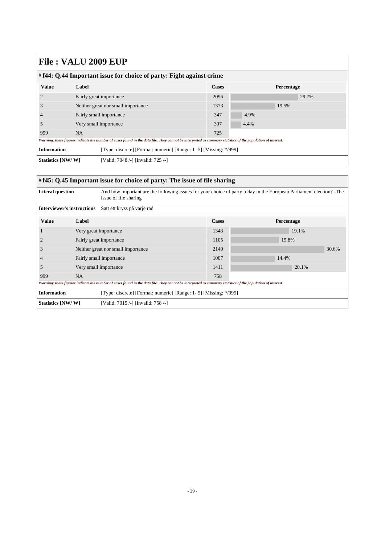| $\#$ f44: Q.44 Important issue for choice of party: Fight against crime                                                                                     |                                    |                                                                   |       |            |       |  |  |
|-------------------------------------------------------------------------------------------------------------------------------------------------------------|------------------------------------|-------------------------------------------------------------------|-------|------------|-------|--|--|
| <b>Value</b>                                                                                                                                                | Label                              |                                                                   | Cases | Percentage |       |  |  |
|                                                                                                                                                             |                                    | Fairly great importance                                           | 2096  |            | 29.7% |  |  |
|                                                                                                                                                             | Neither great nor small importance |                                                                   | 1373  |            | 19.5% |  |  |
|                                                                                                                                                             | Fairly small importance            |                                                                   | 347   | 4.9%       |       |  |  |
|                                                                                                                                                             | Very small importance              |                                                                   | 307   | 4.4%       |       |  |  |
| 999                                                                                                                                                         | <b>NA</b>                          |                                                                   |       |            |       |  |  |
| Warning: these figures indicate the number of cases found in the data file. They cannot be interpreted as summary statistics of the population of interest. |                                    |                                                                   |       |            |       |  |  |
| <b>Information</b>                                                                                                                                          |                                    | [Type: discrete] [Format: numeric] [Range: 1- 5] [Missing: */999] |       |            |       |  |  |
| <b>Statistics [NW/W]</b>                                                                                                                                    |                                    | [Valid: 7048 /-] [Invalid: 725 /-]                                |       |            |       |  |  |

#### <span id="page-28-0"></span># **f45: Q.45 Important issue for choice of party: The issue of file sharing**

| <b>Literal question</b>                                                                                                                                     |                         | And how important are the following issues for your choice of party today in the European Parliament election? -The |              |            |       |  |  |
|-------------------------------------------------------------------------------------------------------------------------------------------------------------|-------------------------|---------------------------------------------------------------------------------------------------------------------|--------------|------------|-------|--|--|
|                                                                                                                                                             |                         | issue of file sharing                                                                                               |              |            |       |  |  |
| <b>Interviewer's instructions</b>                                                                                                                           |                         | Sätt ett kryss på varje rad                                                                                         |              |            |       |  |  |
| <b>Value</b>                                                                                                                                                | Label                   |                                                                                                                     | <b>Cases</b> | Percentage |       |  |  |
|                                                                                                                                                             | Very great importance   |                                                                                                                     | 1343         |            | 19.1% |  |  |
|                                                                                                                                                             | Fairly great importance |                                                                                                                     | 1105         |            | 15.8% |  |  |
| 3                                                                                                                                                           |                         | Neither great nor small importance                                                                                  | 2149         |            | 30.6% |  |  |
|                                                                                                                                                             | Fairly small importance |                                                                                                                     | 1007         | 14.4%      |       |  |  |
| 5                                                                                                                                                           | Very small importance   |                                                                                                                     | 1411         |            | 20.1% |  |  |
| 999                                                                                                                                                         | <b>NA</b>               |                                                                                                                     | 758          |            |       |  |  |
| Warning: these figures indicate the number of cases found in the data file. They cannot be interpreted as summary statistics of the population of interest. |                         |                                                                                                                     |              |            |       |  |  |
| <b>Information</b>                                                                                                                                          |                         | [Type: discrete] [Format: numeric] [Range: 1- 5] [Missing: */999]                                                   |              |            |       |  |  |
| Statistics [NW/W]                                                                                                                                           |                         | [Valid: 7015 /-] [Invalid: 758 /-]                                                                                  |              |            |       |  |  |